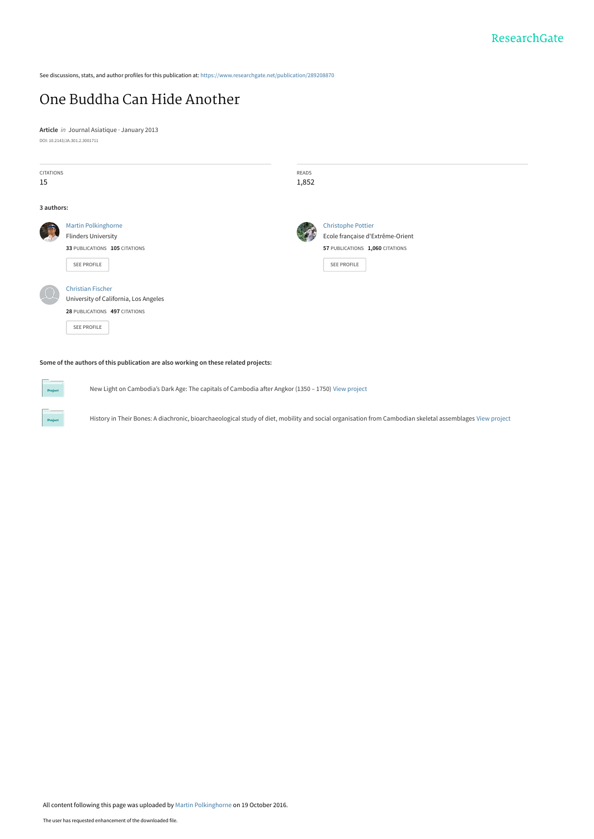See discussions, stats, and author profiles for this publication at: [https://www.researchgate.net/publication/289208870](https://www.researchgate.net/publication/289208870_One_Buddha_Can_Hide_Another?enrichId=rgreq-be2bb88be6f7030bf2b360fff3590380-XXX&enrichSource=Y292ZXJQYWdlOzI4OTIwODg3MDtBUzo0MTg4MTk0Nzk3NTI3MDRAMTQ3Njg2NTc1MzM1Mg%3D%3D&el=1_x_2&_esc=publicationCoverPdf)

# [One Buddha Can Hide Another](https://www.researchgate.net/publication/289208870_One_Buddha_Can_Hide_Another?enrichId=rgreq-be2bb88be6f7030bf2b360fff3590380-XXX&enrichSource=Y292ZXJQYWdlOzI4OTIwODg3MDtBUzo0MTg4MTk0Nzk3NTI3MDRAMTQ3Njg2NTc1MzM1Mg%3D%3D&el=1_x_3&_esc=publicationCoverPdf)

**Article** in Journal Asiatique · January 2013 DOI: 10.2143/JA.301.2.3001711

| <b>CITATIONS</b><br>15 |                                                                                                                   | <b>READS</b><br>1,852 |                                                                                                                 |
|------------------------|-------------------------------------------------------------------------------------------------------------------|-----------------------|-----------------------------------------------------------------------------------------------------------------|
| 3 authors:             |                                                                                                                   |                       |                                                                                                                 |
|                        | <b>Martin Polkinghorne</b><br><b>Flinders University</b><br>33 PUBLICATIONS 105 CITATIONS<br>SEE PROFILE          |                       | <b>Christophe Pottier</b><br>Ecole française d'Extrême-Orient<br>57 PUBLICATIONS 1,060 CITATIONS<br>SEE PROFILE |
|                        | <b>Christian Fischer</b><br>University of California, Los Angeles<br>28 PUBLICATIONS 497 CITATIONS<br>SEE PROFILE |                       |                                                                                                                 |
|                        | Some of the authors of this publication are also working on these related projects:                               |                       |                                                                                                                 |

New Light on Cambodia's Dark Age: The capitals of Cambodia after Angkor (1350 – 1750) [View project](https://www.researchgate.net/project/New-Light-on-Cambodias-Dark-Age-The-capitals-of-Cambodia-after-Angkor-1350-1750?enrichId=rgreq-be2bb88be6f7030bf2b360fff3590380-XXX&enrichSource=Y292ZXJQYWdlOzI4OTIwODg3MDtBUzo0MTg4MTk0Nzk3NTI3MDRAMTQ3Njg2NTc1MzM1Mg%3D%3D&el=1_x_9&_esc=publicationCoverPdf)

History in Their Bones: A diachronic, bioarchaeological study of diet, mobility and social organisation from Cambodian skeletal assemblages [View project](https://www.researchgate.net/project/History-in-Their-Bones-A-diachronic-bioarchaeological-study-of-diet-mobility-and-social-organisation-from-Cambodian-skeletal-assemblages?enrichId=rgreq-be2bb88be6f7030bf2b360fff3590380-XXX&enrichSource=Y292ZXJQYWdlOzI4OTIwODg3MDtBUzo0MTg4MTk0Nzk3NTI3MDRAMTQ3Njg2NTc1MzM1Mg%3D%3D&el=1_x_9&_esc=publicationCoverPdf)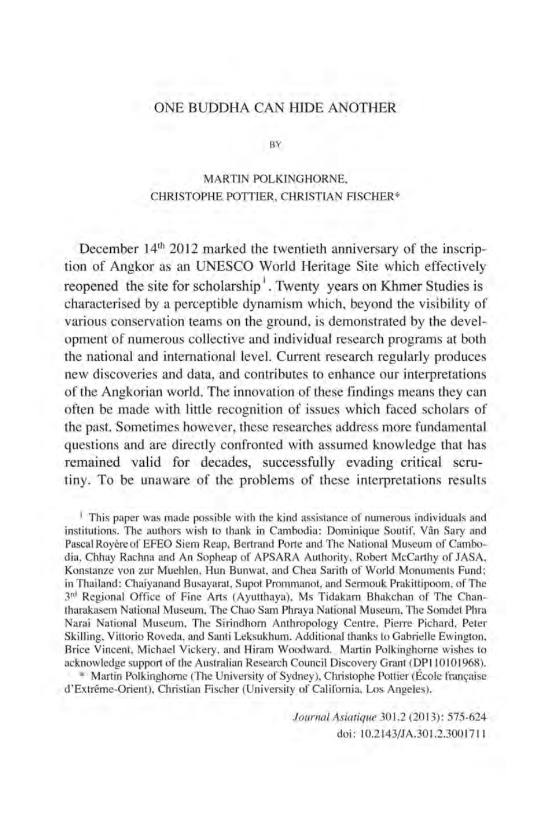# ONE BUDDHA CAN HIDE ANOTHER

BY

## MARTIN POLKINGHORN£, CHRISTOPHE POTTIER, CHRISTIAN FISCHER\*

December  $14<sup>th</sup>$  2012 marked the twentieth anniversary of the inscription of Angkor as an UNESCO World Heritage Site which effectively reopened the site for scholarship<sup>1</sup>. Twenty years on Khmer Studies is characterised by a perceptible dynamism which, beyond the visibility of various conservation teams on the ground, is demonstrated by the development of numerous collective and individual research programs at both the national and international level. Current research regularly produces new discoveries and data, and contributes to enhance our interpretations of the Angkorian world. The innovation of these findings means they can often be made with little recognition of issues which faced scholars of the past. Sometimes however, these researches address more fundamental questions and are directly confronted with assumed knowledge that has remained valid for decades, successfully evading critical scrutiny. To be unaware of the problems of these interpretations results

<sup>1</sup> This paper was made possible with the kind assistance of numerous individuals and institutions. The authors wish to thank in Cambodia: Dominique Soutif, Van Sary and Pascal Royère of EFEO Siem Reap, Bertrand Porte and The National Museum of Cambodia, Chhay Rachna and An Sopheap of APSARA Authority, Robert McCarthy of JASA, Konstanze von zur Muehlen, Hun Bunwat, and Chea Sarith of World Monuments Fund; in Thailand: Chaiyanand Busayarat, Supot Prommanot, and Sermouk Prakittipoom, of The 3rd Regional Office of Fine Arts (Ayutthaya), Ms Tidakarn Bhakchan of The Chantharakasem National Museum, The Chao Sam Phraya National Museum, The Somdet Phra Narai National Museum, The Sirindhorn Anthropology Centre, Pierre Pichard, Peter Skilling, Vittorio Roveda, and Santi Leksukhum. Additional thanks to Gabrielle Ewington, Brice Vincent, Michael Vickery, and Hiram Woodward. Martin Polkinghorne wishes to acknowledge support of the Australian Research Council Discovery Grant (DPI10101968).

\* Martin Polkinghorne (The University of Sydney), Christophe Pottier (École française d'Extreme-Orient), Christian Fischer (University of California, Los Angeles).

> *Journal Asiatique* 301.2 (2013): 575-624 doi: 10.2143/JA.301.2.3001711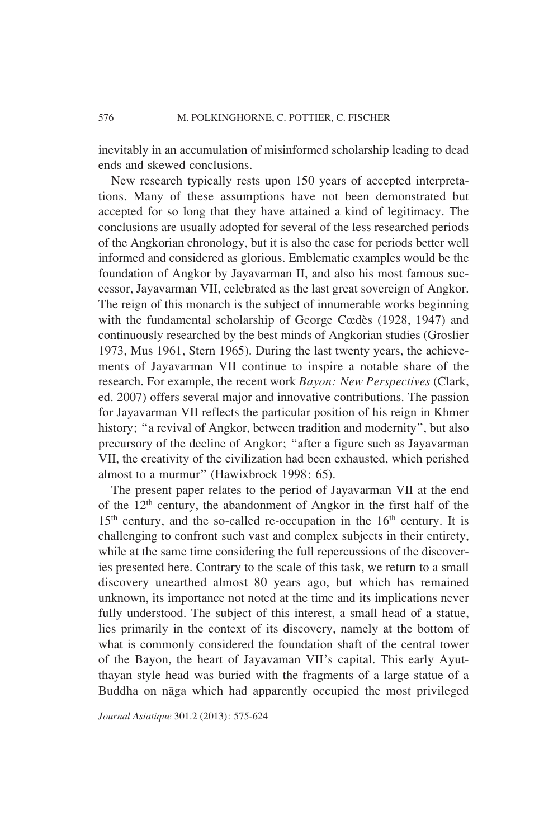inevitably in an accumulation of misinformed scholarship leading to dead ends and skewed conclusions.

New research typically rests upon 150 years of accepted interpretations. Many of these assumptions have not been demonstrated but accepted for so long that they have attained a kind of legitimacy. The conclusions are usually adopted for several of the less researched periods of the Angkorian chronology, but it is also the case for periods better well informed and considered as glorious. Emblematic examples would be the foundation of Angkor by Jayavarman II, and also his most famous successor, Jayavarman VII, celebrated as the last great sovereign of Angkor. The reign of this monarch is the subject of innumerable works beginning with the fundamental scholarship of George Cœdès (1928, 1947) and continuously researched by the best minds of Angkorian studies (Groslier 1973, Mus 1961, Stern 1965). During the last twenty years, the achievements of Jayavarman VII continue to inspire a notable share of the research. For example, the recent work *Bayon: New Perspectives* (Clark, ed. 2007) offers several major and innovative contributions. The passion for Jayavarman VII reflects the particular position of his reign in Khmer history; "a revival of Angkor, between tradition and modernity", but also precursory of the decline of Angkor; "after a figure such as Jayavarman VII, the creativity of the civilization had been exhausted, which perished almost to a murmur" (Hawixbrock 1998: 65).

The present paper relates to the period of Jayavarman VII at the end of the 12th century, the abandonment of Angkor in the first half of the  $15<sup>th</sup>$  century, and the so-called re-occupation in the  $16<sup>th</sup>$  century. It is challenging to confront such vast and complex subjects in their entirety, while at the same time considering the full repercussions of the discoveries presented here. Contrary to the scale of this task, we return to a small discovery unearthed almost 80 years ago, but which has remained unknown, its importance not noted at the time and its implications never fully understood. The subject of this interest, a small head of a statue, lies primarily in the context of its discovery, namely at the bottom of what is commonly considered the foundation shaft of the central tower of the Bayon, the heart of Jayavaman VII's capital. This early Ayutthayan style head was buried with the fragments of a large statue of a Buddha on nāga which had apparently occupied the most privileged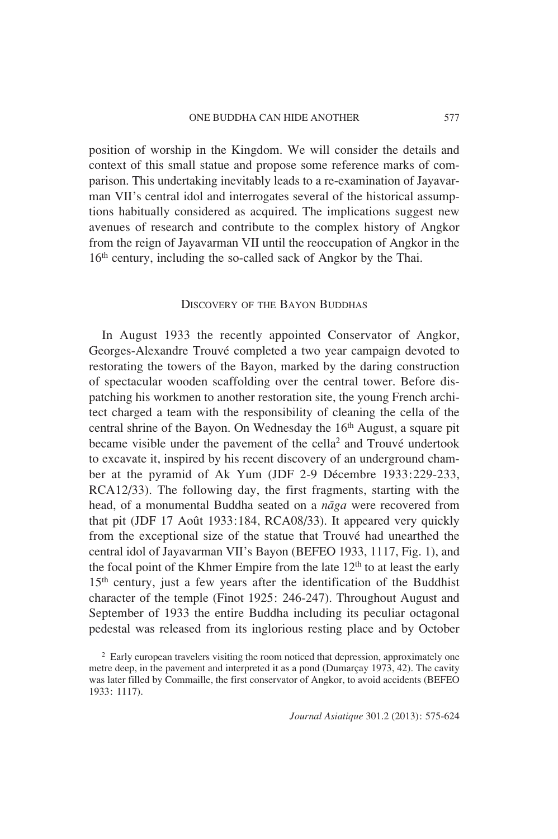position of worship in the Kingdom. We will consider the details and context of this small statue and propose some reference marks of comparison. This undertaking inevitably leads to a re-examination of Jayavarman VII's central idol and interrogates several of the historical assumptions habitually considered as acquired. The implications suggest new avenues of research and contribute to the complex history of Angkor from the reign of Jayavarman VII until the reoccupation of Angkor in the 16<sup>th</sup> century, including the so-called sack of Angkor by the Thai.

## DISCOVERY OF THE BAYON BUDDHAS

In August 1933 the recently appointed Conservator of Angkor, Georges-Alexandre Trouvé completed a two year campaign devoted to restorating the towers of the Bayon, marked by the daring construction of spectacular wooden scaffolding over the central tower. Before dispatching his workmen to another restoration site, the young French architect charged a team with the responsibility of cleaning the cella of the central shrine of the Bayon. On Wednesday the  $16<sup>th</sup>$  August, a square pit became visible under the pavement of the cella<sup>2</sup> and Trouvé undertook to excavate it, inspired by his recent discovery of an underground chamber at the pyramid of Ak Yum (JDF 2-9 Décembre 1933:229-233, RCA12/33). The following day, the first fragments, starting with the head, of a monumental Buddha seated on a *naga* were recovered from that pit (JDF 17 Août 1933:184, RCA08/33). It appeared very quickly from the exceptional size of the statue that Trouvé had unearthed the central idol of Jayavarman VII's Bayon (BEFEO 1933, 1117, Fig. 1), and the focal point of the Khmer Empire from the late  $12<sup>th</sup>$  to at least the early 15<sup>th</sup> century, just a few years after the identification of the Buddhist character of the temple (Finot 1925: 246-247). Throughout August and September of 1933 the entire Buddha including its peculiar octagonal pedestal was released from its inglorious resting place and by October

<sup>&</sup>lt;sup>2</sup> Early european travelers visiting the room noticed that depression, approximately one metre deep, in the pavement and interpreted it as a pond (Dumarçay 1973, 42). The cavity was later filled by Commaille, the first conservator of Angkor, to avoid accidents (BEFEO 1933: 1117).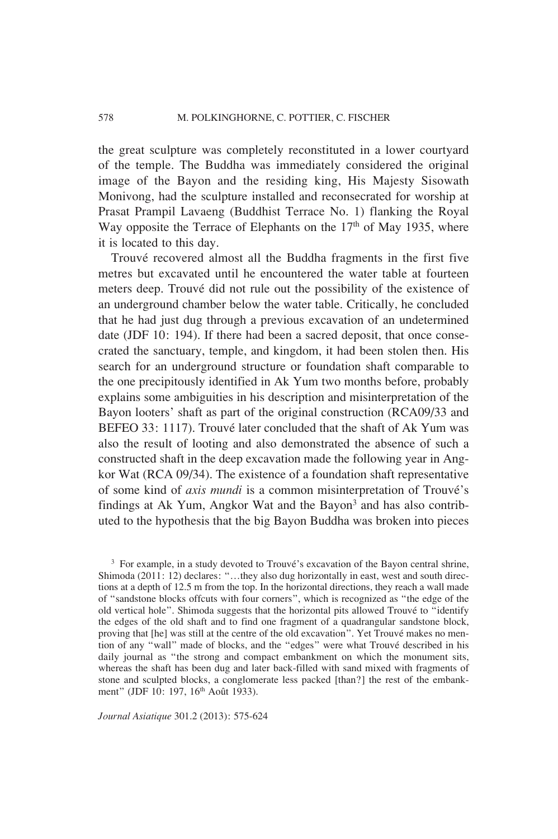the great sculpture was completely reconstituted in a lower courtyard of the temple. The Buddha was immediately considered the original image of the Bayon and the residing king, His Majesty Sisowath Monivong, had the sculpture installed and reconsecrated for worship at Prasat Prampil Lavaeng (Buddhist Terrace No. 1) flanking the Royal Way opposite the Terrace of Elephants on the  $17<sup>th</sup>$  of May 1935, where it is located to this day.

Trouvé recovered almost all the Buddha fragments in the first five metres but excavated until he encountered the water table at fourteen meters deep. Trouvé did not rule out the possibility of the existence of an underground chamber below the water table. Critically, he concluded that he had just dug through a previous excavation of an undetermined date (JDF 10: 194). If there had been a sacred deposit, that once consecrated the sanctuary, temple, and kingdom, it had been stolen then. His search for an underground structure or foundation shaft comparable to the one precipitously identified in Ak Yum two months before, probably explains some ambiguities in his description and misinterpretation of the Bayon looters' shaft as part of the original construction (RCA09/33 and BEFEO 33: 1117). Trouvé later concluded that the shaft of Ak Yum was also the result of looting and also demonstrated the absence of such a constructed shaft in the deep excavation made the following year in Angkor Wat (RCA 09/34). The existence of a foundation shaft representative of some kind of *axis mundi* is a common misinterpretation of Trouvé's findings at Ak Yum, Angkor Wat and the Bayon<sup>3</sup> and has also contributed to the hypothesis that the big Bayon Buddha was broken into pieces

<sup>3</sup> For example, in a study devoted to Trouvé's excavation of the Bayon central shrine, Shimoda (2011: 12) declares: "…they also dug horizontally in east, west and south directions at a depth of 12.5 m from the top. In the horizontal directions, they reach a wall made of "sandstone blocks offcuts with four corners", which is recognized as "the edge of the old vertical hole". Shimoda suggests that the horizontal pits allowed Trouvé to "identify the edges of the old shaft and to find one fragment of a quadrangular sandstone block, proving that [he] was still at the centre of the old excavation". Yet Trouvé makes no mention of any "wall" made of blocks, and the "edges" were what Trouvé described in his daily journal as "the strong and compact embankment on which the monument sits, whereas the shaft has been dug and later back-filled with sand mixed with fragments of stone and sculpted blocks, a conglomerate less packed [than?] the rest of the embankment" (JDF 10: 197, 16<sup>th</sup> Août 1933).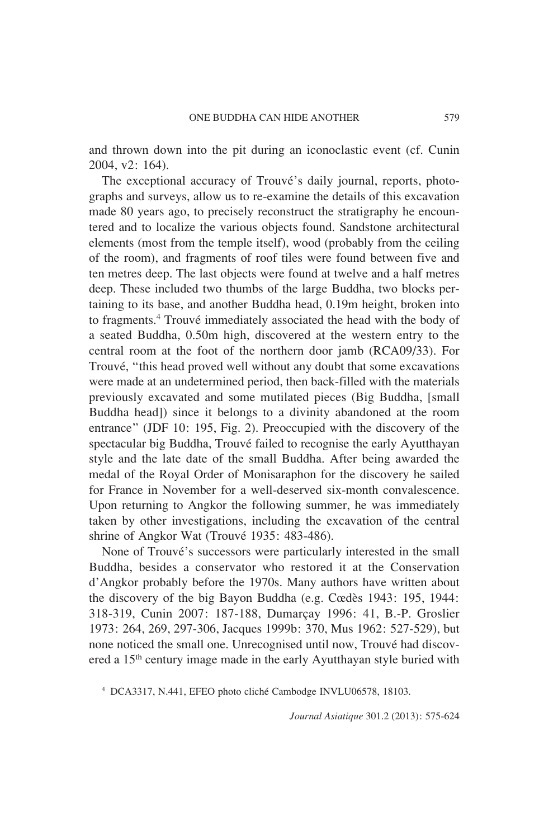and thrown down into the pit during an iconoclastic event (cf. Cunin 2004, v2: 164).

The exceptional accuracy of Trouvé's daily journal, reports, photographs and surveys, allow us to re-examine the details of this excavation made 80 years ago, to precisely reconstruct the stratigraphy he encountered and to localize the various objects found. Sandstone architectural elements (most from the temple itself), wood (probably from the ceiling of the room), and fragments of roof tiles were found between five and ten metres deep. The last objects were found at twelve and a half metres deep. These included two thumbs of the large Buddha, two blocks pertaining to its base, and another Buddha head, 0.19m height, broken into to fragments.<sup>4</sup> Trouvé immediately associated the head with the body of a seated Buddha, 0.50m high, discovered at the western entry to the central room at the foot of the northern door jamb (RCA09/33). For Trouvé, "this head proved well without any doubt that some excavations were made at an undetermined period, then back-filled with the materials previously excavated and some mutilated pieces (Big Buddha, [small Buddha head]) since it belongs to a divinity abandoned at the room entrance" (JDF 10: 195, Fig. 2). Preoccupied with the discovery of the spectacular big Buddha, Trouvé failed to recognise the early Ayutthayan style and the late date of the small Buddha. After being awarded the medal of the Royal Order of Monisaraphon for the discovery he sailed for France in November for a well-deserved six-month convalescence. Upon returning to Angkor the following summer, he was immediately taken by other investigations, including the excavation of the central shrine of Angkor Wat (Trouvé 1935: 483-486).

None of Trouvé's successors were particularly interested in the small Buddha, besides a conservator who restored it at the Conservation d'Angkor probably before the 1970s. Many authors have written about the discovery of the big Bayon Buddha (e.g. Cœdès 1943: 195, 1944: 318-319, Cunin 2007: 187-188, Dumarçay 1996: 41, B.-P. Groslier 1973: 264, 269, 297-306, Jacques 1999b: 370, Mus 1962: 527-529), but none noticed the small one. Unrecognised until now, Trouvé had discovered a 15<sup>th</sup> century image made in the early Ayutthayan style buried with

<sup>4</sup> DCA3317, N.441, EFEO photo cliché Cambodge INVLU06578, 18103.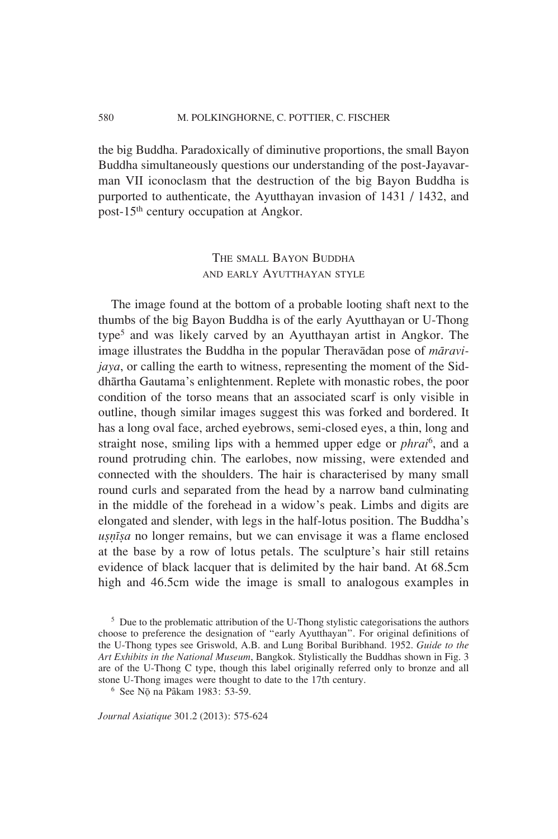the big Buddha. Paradoxically of diminutive proportions, the small Bayon Buddha simultaneously questions our understanding of the post-Jayavarman VII iconoclasm that the destruction of the big Bayon Buddha is purported to authenticate, the Ayutthayan invasion of 1431 / 1432, and post-15th century occupation at Angkor.

# THE SMALL BAYON BUDDHA AND EARLY AYUTTHAYAN STYLE

The image found at the bottom of a probable looting shaft next to the thumbs of the big Bayon Buddha is of the early Ayutthayan or U-Thong type<sup>5</sup> and was likely carved by an Ayutthayan artist in Angkor. The image illustrates the Buddha in the popular Theravadan pose of *maravijaya*, or calling the earth to witness, representing the moment of the Siddhartha Gautama's enlightenment. Replete with monastic robes, the poor condition of the torso means that an associated scarf is only visible in outline, though similar images suggest this was forked and bordered. It has a long oval face, arched eyebrows, semi-closed eyes, a thin, long and straight nose, smiling lips with a hemmed upper edge or *phrai*<sup>6</sup> , and a round protruding chin. The earlobes, now missing, were extended and connected with the shoulders. The hair is characterised by many small round curls and separated from the head by a narrow band culminating in the middle of the forehead in a widow's peak. Limbs and digits are elongated and slender, with legs in the half-lotus position. The Buddha's *usnisa* no longer remains, but we can envisage it was a flame enclosed at the base by a row of lotus petals. The sculpture's hair still retains evidence of black lacquer that is delimited by the hair band. At 68.5cm high and 46.5cm wide the image is small to analogous examples in

<sup>&</sup>lt;sup>5</sup> Due to the problematic attribution of the U-Thong stylistic categorisations the authors choose to preference the designation of "early Ayutthayan". For original definitions of the U-Thong types see Griswold, A.B. and Lung Boribal Buribhand. 1952. *Guide to the Art Exhibits in the National Museum*, Bangkok. Stylistically the Buddhas shown in Fig. 3 are of the U-Thong C type, though this label originally referred only to bronze and all stone U-Thong images were thought to date to the 17th century.

<sup>&</sup>lt;sup>6</sup> See N<sub>0</sub> na Pâkam 1983: 53-59.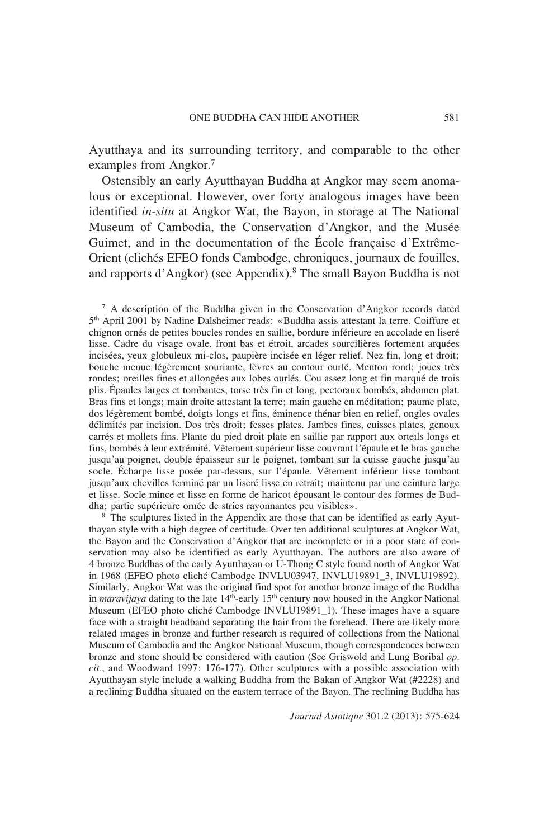Ayutthaya and its surrounding territory, and comparable to the other examples from Angkor.<sup>7</sup>

Ostensibly an early Ayutthayan Buddha at Angkor may seem anomalous or exceptional. However, over forty analogous images have been identified *in-situ* at Angkor Wat, the Bayon, in storage at The National Museum of Cambodia, the Conservation d'Angkor, and the Musée Guimet, and in the documentation of the École française d'Extrême-Orient (clichés EFEO fonds Cambodge, chroniques, journaux de fouilles, and rapports d'Angkor) (see Appendix).8 The small Bayon Buddha is not

7 A description of the Buddha given in the Conservation d'Angkor records dated 5th April 2001 by Nadine Dalsheimer reads: «Buddha assis attestant la terre. Coiffure et chignon ornés de petites boucles rondes en saillie, bordure inférieure en accolade en liseré lisse. Cadre du visage ovale, front bas et étroit, arcades sourcilières fortement arquées incisées, yeux globuleux mi-clos, paupière incisée en léger relief. Nez fin, long et droit; bouche menue légèrement souriante, lèvres au contour ourlé. Menton rond; joues très rondes; oreilles fines et allongées aux lobes ourlés. Cou assez long et fin marqué de trois plis. Épaules larges et tombantes, torse très fin et long, pectoraux bombés, abdomen plat. Bras fins et longs; main droite attestant la terre; main gauche en méditation; paume plate, dos légèrement bombé, doigts longs et fins, éminence thénar bien en relief, ongles ovales délimités par incision. Dos très droit; fesses plates. Jambes fines, cuisses plates, genoux carrés et mollets fins. Plante du pied droit plate en saillie par rapport aux orteils longs et fins, bombés à leur extrémité. Vêtement supérieur lisse couvrant l'épaule et le bras gauche jusqu'au poignet, double épaisseur sur le poignet, tombant sur la cuisse gauche jusqu'au socle. Écharpe lisse posée par-dessus, sur l'épaule. Vêtement inférieur lisse tombant jusqu'aux chevilles terminé par un liseré lisse en retrait; maintenu par une ceinture large et lisse. Socle mince et lisse en forme de haricot épousant le contour des formes de Buddha; partie supérieure ornée de stries rayonnantes peu visibles».

<sup>8</sup> The sculptures listed in the Appendix are those that can be identified as early Ayutthayan style with a high degree of certitude. Over ten additional sculptures at Angkor Wat, the Bayon and the Conservation d'Angkor that are incomplete or in a poor state of conservation may also be identified as early Ayutthayan. The authors are also aware of 4 bronze Buddhas of the early Ayutthayan or U-Thong C style found north of Angkor Wat in 1968 (EFEO photo cliché Cambodge INVLU03947, INVLU19891\_3, INVLU19892). Similarly, Angkor Wat was the original find spot for another bronze image of the Buddha in *māravijaya* dating to the late 14<sup>th</sup>-early 15<sup>th</sup> century now housed in the Angkor National Museum (EFEO photo cliché Cambodge INVLU19891\_1). These images have a square face with a straight headband separating the hair from the forehead. There are likely more related images in bronze and further research is required of collections from the National Museum of Cambodia and the Angkor National Museum, though correspondences between bronze and stone should be considered with caution (See Griswold and Lung Boribal *op. cit.*, and Woodward 1997: 176-177). Other sculptures with a possible association with Ayutthayan style include a walking Buddha from the Bakan of Angkor Wat (#2228) and a reclining Buddha situated on the eastern terrace of the Bayon. The reclining Buddha has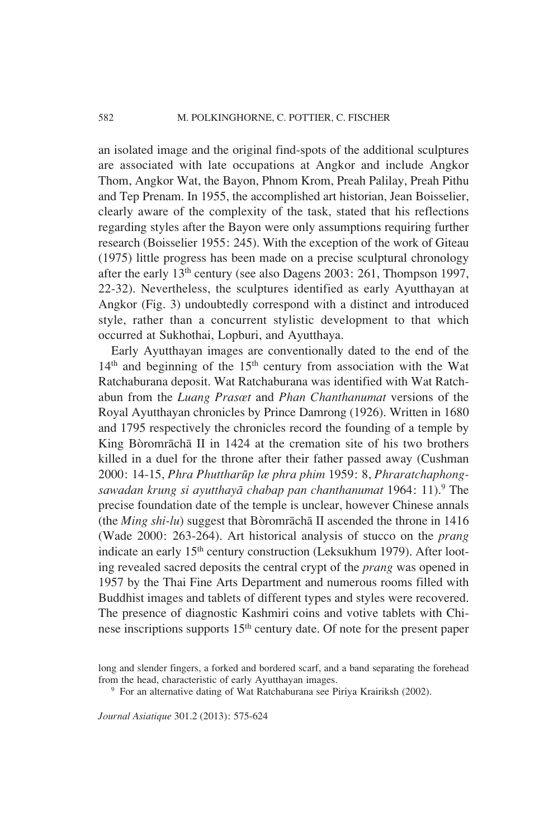an isolated image and the original find-spots of the additional sculptures are associated with late occupations at Angkor and include Angkor Thom, Angkor Wat, the Bayon, Phnom Krom, Preah Palilay, Preah Pithu and Tep Prenam. In 1955, the accomplished art historian, Jean Boisselier, clearly aware of the complexity of the task, stated that his reflections regarding styles after the Bayon were only assumptions requiring further research (Boisselier 1955: 245). With the exception of the work of Giteau (1975) little progress has been made on a precise sculptural chronology after the early 13th century (see also Dagens 2003: 261, Thompson 1997, 22-32). Nevertheless, the sculptures identified as early Ayutthayan at Angkor (Fig. 3) undoubtedly correspond with a distinct and introduced style, rather than a concurrent stylistic development to that which occurred at Sukhothai, Lopburi, and Ayutthaya.

Early Ayutthayan images are conventionally dated to the end of the  $14<sup>th</sup>$  and beginning of the  $15<sup>th</sup>$  century from association with the Wat Ratchaburana deposit. Wat Ratchaburana was identified with Wat Ratchabun from the *Luang Prasœt* and *Phan Chanthanumat* versions of the Royal Ayutthayan chronicles by Prince Damrong (1926). Written in 1680 and 1795 respectively the chronicles record the founding of a temple by King Bòromrāchā II in 1424 at the cremation site of his two brothers killed in a duel for the throne after their father passed away (Cushman 2000: 14-15, *Phra Phuttharup læ phra phim* 1959: 8, *Phraratchaphongsawadan krung si ayutthaya chabap pan chanthanumat* 1964: 11).9 The precise foundation date of the temple is unclear, however Chinese annals (the *Ming shi-lu*) suggest that Bòromracha II ascended the throne in 1416 (Wade 2000: 263-264). Art historical analysis of stucco on the *prang*  indicate an early 15<sup>th</sup> century construction (Leksukhum 1979). After looting revealed sacred deposits the central crypt of the *prang* was opened in 1957 by the Thai Fine Arts Department and numerous rooms filled with Buddhist images and tablets of different types and styles were recovered. The presence of diagnostic Kashmiri coins and votive tablets with Chinese inscriptions supports 15<sup>th</sup> century date. Of note for the present paper

long and slender fingers, a forked and bordered scarf, and a band separating the forehead from the head, characteristic of early Ayutthayan images.

<sup>&</sup>lt;sup>9</sup> For an alternative dating of Wat Ratchaburana see Piriya Krairiksh (2002).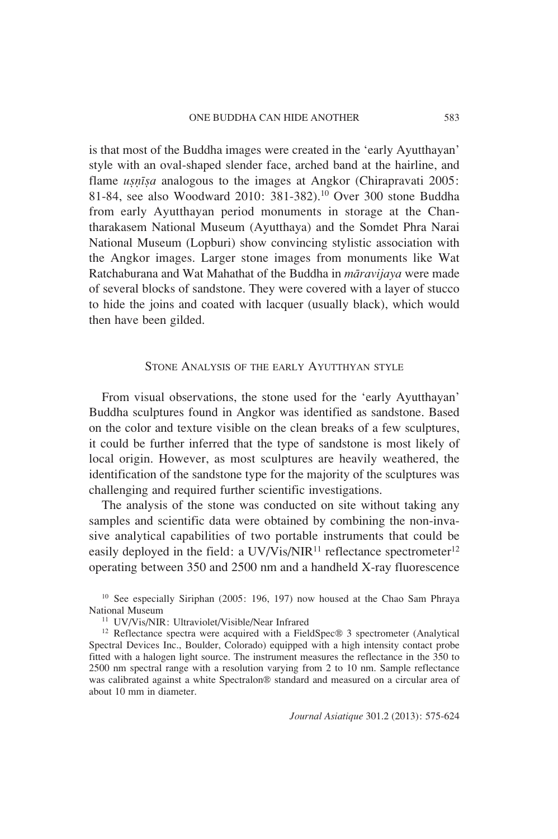is that most of the Buddha images were created in the 'early Ayutthayan' style with an oval-shaped slender face, arched band at the hairline, and flame *usnosa* analogous to the images at Angkor (Chirapravati 2005: 81-84, see also Woodward 2010: 381-382).10 Over 300 stone Buddha from early Ayutthayan period monuments in storage at the Chantharakasem National Museum (Ayutthaya) and the Somdet Phra Narai National Museum (Lopburi) show convincing stylistic association with the Angkor images. Larger stone images from monuments like Wat Ratchaburana and Wat Mahathat of the Buddha in *maravijaya* were made of several blocks of sandstone. They were covered with a layer of stucco to hide the joins and coated with lacquer (usually black), which would then have been gilded.

## STONE ANALYSIS OF THE EARLY AYUTTHYAN STYLE

From visual observations, the stone used for the 'early Ayutthayan' Buddha sculptures found in Angkor was identified as sandstone. Based on the color and texture visible on the clean breaks of a few sculptures, it could be further inferred that the type of sandstone is most likely of local origin. However, as most sculptures are heavily weathered, the identification of the sandstone type for the majority of the sculptures was challenging and required further scientific investigations.

The analysis of the stone was conducted on site without taking any samples and scientific data were obtained by combining the non-invasive analytical capabilities of two portable instruments that could be easily deployed in the field: a  $UV/V$ is/NIR<sup>11</sup> reflectance spectrometer<sup>12</sup> operating between 350 and 2500 nm and a handheld X-ray fluorescence

<sup>10</sup> See especially Siriphan (2005: 196, 197) now housed at the Chao Sam Phraya National Museum 11 UV/Vis/NIR: Ultraviolet/Visible/Near Infrared

12 Reflectance spectra were acquired with a FieldSpec® 3 spectrometer (Analytical Spectral Devices Inc., Boulder, Colorado) equipped with a high intensity contact probe fitted with a halogen light source. The instrument measures the reflectance in the 350 to 2500 nm spectral range with a resolution varying from 2 to 10 nm. Sample reflectance was calibrated against a white Spectralon® standard and measured on a circular area of about 10 mm in diameter.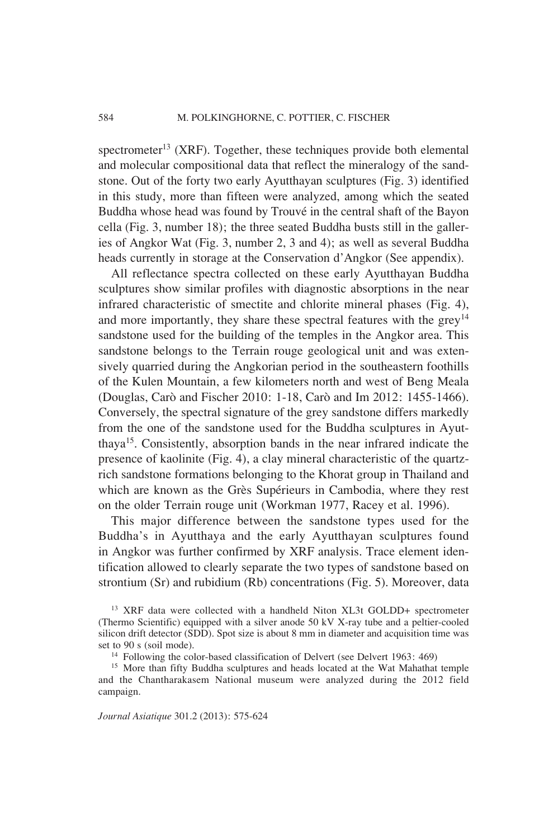spectrometer<sup>13</sup> (XRF). Together, these techniques provide both elemental and molecular compositional data that reflect the mineralogy of the sandstone. Out of the forty two early Ayutthayan sculptures (Fig. 3) identified in this study, more than fifteen were analyzed, among which the seated Buddha whose head was found by Trouvé in the central shaft of the Bayon cella (Fig. 3, number 18); the three seated Buddha busts still in the galleries of Angkor Wat (Fig. 3, number 2, 3 and 4); as well as several Buddha heads currently in storage at the Conservation d'Angkor (See appendix).

All reflectance spectra collected on these early Ayutthayan Buddha sculptures show similar profiles with diagnostic absorptions in the near infrared characteristic of smectite and chlorite mineral phases (Fig. 4), and more importantly, they share these spectral features with the  $grev<sup>14</sup>$ sandstone used for the building of the temples in the Angkor area. This sandstone belongs to the Terrain rouge geological unit and was extensively quarried during the Angkorian period in the southeastern foothills of the Kulen Mountain, a few kilometers north and west of Beng Meala (Douglas, Carò and Fischer 2010: 1-18, Carò and Im 2012: 1455-1466). Conversely, the spectral signature of the grey sandstone differs markedly from the one of the sandstone used for the Buddha sculptures in Ayutthaya15. Consistently, absorption bands in the near infrared indicate the presence of kaolinite (Fig. 4), a clay mineral characteristic of the quartzrich sandstone formations belonging to the Khorat group in Thailand and which are known as the Grès Supérieurs in Cambodia, where they rest on the older Terrain rouge unit (Workman 1977, Racey et al. 1996).

This major difference between the sandstone types used for the Buddha's in Ayutthaya and the early Ayutthayan sculptures found in Angkor was further confirmed by XRF analysis. Trace element identification allowed to clearly separate the two types of sandstone based on strontium (Sr) and rubidium (Rb) concentrations (Fig. 5). Moreover, data

<sup>13</sup> XRF data were collected with a handheld Niton XL3t GOLDD+ spectrometer (Thermo Scientific) equipped with a silver anode 50 kV X-ray tube and a peltier-cooled silicon drift detector (SDD). Spot size is about 8 mm in diameter and acquisition time was set to 90 s (soil mode).

 $14$  Following the color-based classification of Delvert (see Delvert 1963: 469)

<sup>&</sup>lt;sup>15</sup> More than fifty Buddha sculptures and heads located at the Wat Mahathat temple and the Chantharakasem National museum were analyzed during the 2012 field campaign.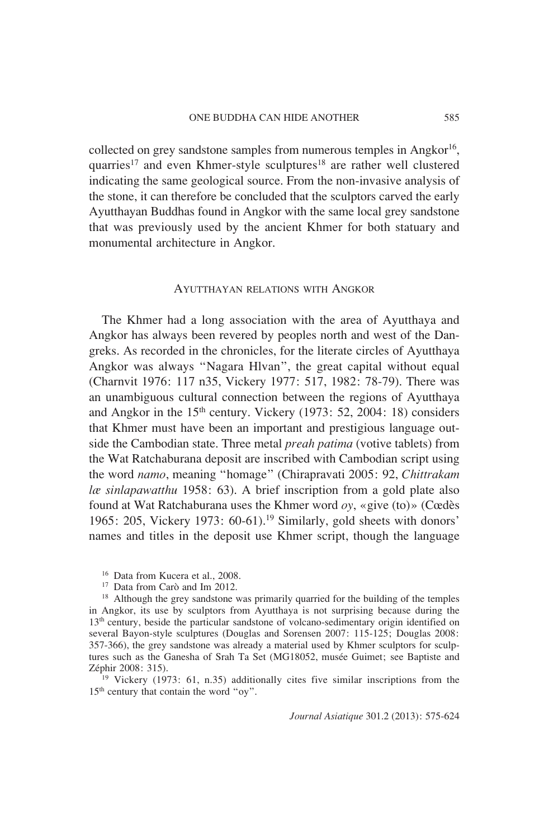collected on grey sandstone samples from numerous temples in Angkor<sup>16</sup>, quarries<sup>17</sup> and even Khmer-style sculptures<sup>18</sup> are rather well clustered indicating the same geological source. From the non-invasive analysis of the stone, it can therefore be concluded that the sculptors carved the early Ayutthayan Buddhas found in Angkor with the same local grey sandstone that was previously used by the ancient Khmer for both statuary and monumental architecture in Angkor.

#### AYUTTHAYAN RELATIONS WITH ANGKOR

The Khmer had a long association with the area of Ayutthaya and Angkor has always been revered by peoples north and west of the Dangreks. As recorded in the chronicles, for the literate circles of Ayutthaya Angkor was always "Nagara Hlvan", the great capital without equal (Charnvit 1976: 117 n35, Vickery 1977: 517, 1982: 78-79). There was an unambiguous cultural connection between the regions of Ayutthaya and Angkor in the 15th century. Vickery (1973: 52, 2004: 18) considers that Khmer must have been an important and prestigious language outside the Cambodian state. Three metal *preah patima* (votive tablets) from the Wat Ratchaburana deposit are inscribed with Cambodian script using the word *namo*, meaning "homage" (Chirapravati 2005: 92, *Chittrakam læ sinlapawatthu* 1958: 63). A brief inscription from a gold plate also found at Wat Ratchaburana uses the Khmer word *oy*, «give (to)» (Cœdès 1965: 205, Vickery 1973: 60-61).19 Similarly, gold sheets with donors' names and titles in the deposit use Khmer script, though the language

17 Data from Carò and Im 2012.

<sup>18</sup> Although the grey sandstone was primarily quarried for the building of the temples in Angkor, its use by sculptors from Ayutthaya is not surprising because during the 13th century, beside the particular sandstone of volcano-sedimentary origin identified on several Bayon-style sculptures (Douglas and Sorensen 2007: 115-125; Douglas 2008: 357-366), the grey sandstone was already a material used by Khmer sculptors for sculptures such as the Ganesha of Srah Ta Set (MG18052, musée Guimet; see Baptiste and Zéphir 2008: 315). 19 Vickery (1973: 61, n.35) additionally cites five similar inscriptions from the

15th century that contain the word "oy".

<sup>16</sup> Data from Kucera et al., 2008.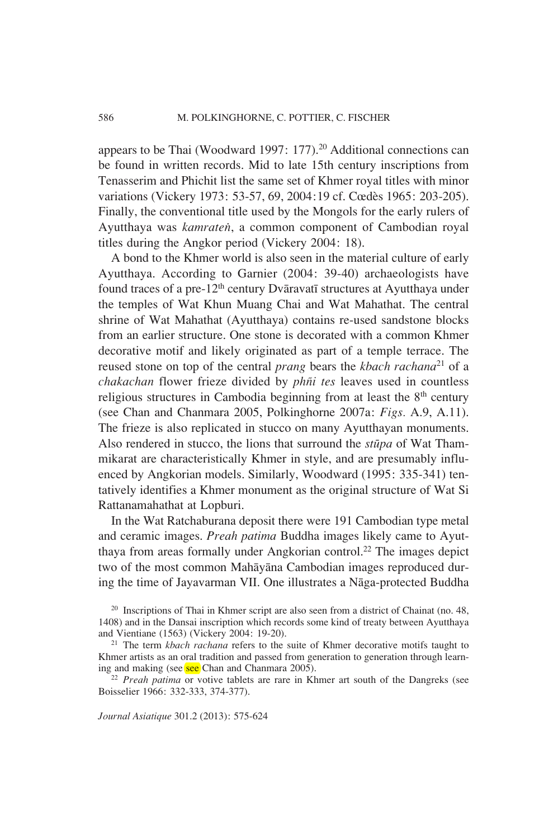appears to be Thai (Woodward 1997: 177).<sup>20</sup> Additional connections can be found in written records. Mid to late 15th century inscriptions from Tenasserim and Phichit list the same set of Khmer royal titles with minor variations (Vickery 1973: 53-57, 69, 2004:19 cf. Cœdès 1965: 203-205). Finally, the conventional title used by the Mongols for the early rulers of Ayutthaya was *kamraten*, a common component of Cambodian royal titles during the Angkor period (Vickery 2004: 18).

A bond to the Khmer world is also seen in the material culture of early Ayutthaya. According to Garnier (2004: 39-40) archaeologists have found traces of a pre-12<sup>th</sup> century Dvāravatī structures at Ayutthaya under the temples of Wat Khun Muang Chai and Wat Mahathat. The central shrine of Wat Mahathat (Ayutthaya) contains re-used sandstone blocks from an earlier structure. One stone is decorated with a common Khmer decorative motif and likely originated as part of a temple terrace. The reused stone on top of the central *prang* bears the *kbach rachana*<sup>21</sup> of a *chakachan* flower frieze divided by *phñi tes* leaves used in countless religious structures in Cambodia beginning from at least the  $8<sup>th</sup>$  century (see Chan and Chanmara 2005, Polkinghorne 2007a: *Figs.* A.9, A.11). The frieze is also replicated in stucco on many Ayutthayan monuments. Also rendered in stucco, the lions that surround the *stupa* of Wat Thammikarat are characteristically Khmer in style, and are presumably influenced by Angkorian models. Similarly, Woodward (1995: 335-341) tentatively identifies a Khmer monument as the original structure of Wat Si Rattanamahathat at Lopburi.

In the Wat Ratchaburana deposit there were 191 Cambodian type metal and ceramic images. *Preah patima* Buddha images likely came to Ayutthaya from areas formally under Angkorian control.<sup>22</sup> The images depict two of the most common Mahayana Cambodian images reproduced during the time of Jayavarman VII. One illustrates a Nāga-protected Buddha

20 Inscriptions of Thai in Khmer script are also seen from a district of Chainat (no. 48, 1408) and in the Dansai inscription which records some kind of treaty between Ayutthaya and Vientiane (1563) (Vickery 2004: 19-20). 21 The term *kbach rachana* refers to the suite of Khmer decorative motifs taught to

Boisselier 1966: 332-333, 374-377).

Khmer artists as an oral tradition and passed from generation to generation through learning and making (see see Chan and Chanmara 2005).<br><sup>22</sup> *Preah patima* or votive tablets are rare in Khmer art south of the Dangreks (see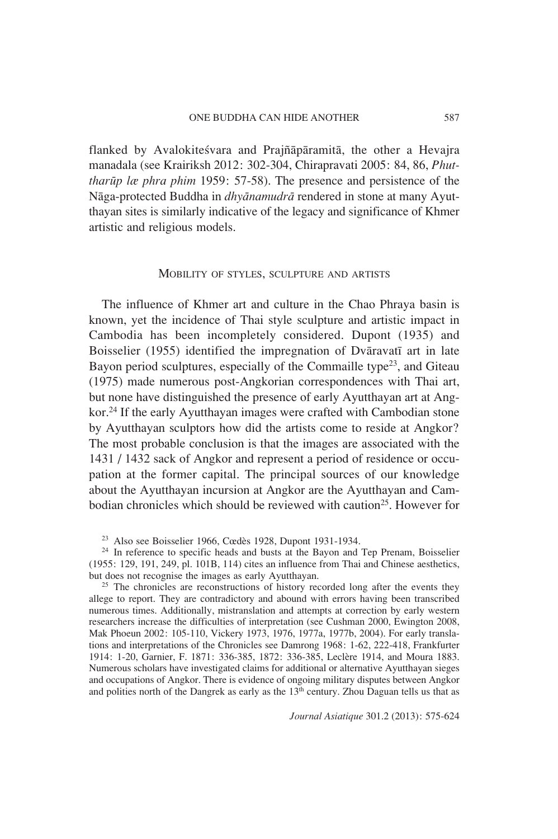flanked by Avalokitesvara and Prajñaparamita, the other a Hevajra manadala (see Krairiksh 2012: 302-304, Chirapravati 2005: 84, 86, *Phuttharup læ phra phim* 1959: 57-58). The presence and persistence of the Naga-protected Buddha in *dhyanamudra* rendered in stone at many Ayutthayan sites is similarly indicative of the legacy and significance of Khmer artistic and religious models.

#### MOBILITY OF STYLES, SCULPTURE AND ARTISTS

The influence of Khmer art and culture in the Chao Phraya basin is known, yet the incidence of Thai style sculpture and artistic impact in Cambodia has been incompletely considered. Dupont (1935) and Boisselier (1955) identified the impregnation of Dvaravati art in late Bayon period sculptures, especially of the Commaille type<sup>23</sup>, and Giteau (1975) made numerous post-Angkorian correspondences with Thai art, but none have distinguished the presence of early Ayutthayan art at Angkor.24 If the early Ayutthayan images were crafted with Cambodian stone by Ayutthayan sculptors how did the artists come to reside at Angkor? The most probable conclusion is that the images are associated with the 1431 / 1432 sack of Angkor and represent a period of residence or occupation at the former capital. The principal sources of our knowledge about the Ayutthayan incursion at Angkor are the Ayutthayan and Cambodian chronicles which should be reviewed with caution<sup>25</sup>. However for

23 Also see Boisselier 1966, Cœdès 1928, Dupont 1931-1934.

<sup>24</sup> In reference to specific heads and busts at the Bayon and Tep Prenam, Boisselier (1955: 129, 191, 249, pl. 101B, 114) cites an influence from Thai and Chinese aesthetics,

<sup>25</sup> The chronicles are reconstructions of history recorded long after the events they allege to report. They are contradictory and abound with errors having been transcribed numerous times. Additionally, mistranslation and attempts at correction by early western researchers increase the difficulties of interpretation (see Cushman 2000, Ewington 2008, Mak Phoeun 2002: 105-110, Vickery 1973, 1976, 1977a, 1977b, 2004). For early translations and interpretations of the Chronicles see Damrong 1968: 1-62, 222-418, Frankfurter 1914: 1-20, Garnier, F. 1871: 336-385, 1872: 336-385, Leclère 1914, and Moura 1883. Numerous scholars have investigated claims for additional or alternative Ayutthayan sieges and occupations of Angkor. There is evidence of ongoing military disputes between Angkor and polities north of the Dangrek as early as the 13<sup>th</sup> century. Zhou Daguan tells us that as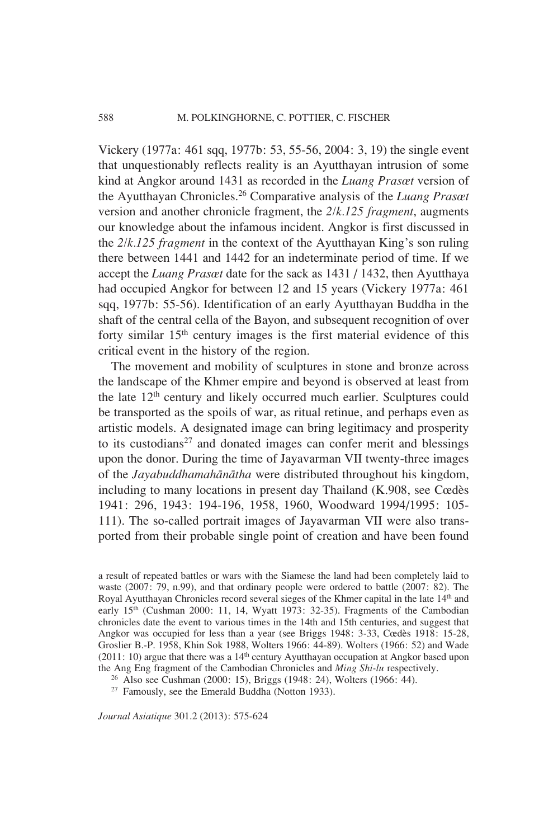Vickery (1977a: 461 sqq, 1977b: 53, 55-56, 2004: 3, 19) the single event that unquestionably reflects reality is an Ayutthayan intrusion of some kind at Angkor around 1431 as recorded in the *Luang Prasœt* version of the Ayutthayan Chronicles.26 Comparative analysis of the *Luang Prasœt* version and another chronicle fragment, the *2/k.125 fragment*, augments our knowledge about the infamous incident. Angkor is first discussed in the *2/k.125 fragment* in the context of the Ayutthayan King's son ruling there between 1441 and 1442 for an indeterminate period of time. If we accept the *Luang Prasœt* date for the sack as 1431 / 1432, then Ayutthaya had occupied Angkor for between 12 and 15 years (Vickery 1977a: 461 sqq, 1977b: 55-56). Identification of an early Ayutthayan Buddha in the shaft of the central cella of the Bayon, and subsequent recognition of over forty similar  $15<sup>th</sup>$  century images is the first material evidence of this critical event in the history of the region.

The movement and mobility of sculptures in stone and bronze across the landscape of the Khmer empire and beyond is observed at least from the late 12<sup>th</sup> century and likely occurred much earlier. Sculptures could be transported as the spoils of war, as ritual retinue, and perhaps even as artistic models. A designated image can bring legitimacy and prosperity to its custodians $27$  and donated images can confer merit and blessings upon the donor. During the time of Jayavarman VII twenty-three images of the *Jayabuddhamahanatha* were distributed throughout his kingdom, including to many locations in present day Thailand (K.908, see Cœdès 1941: 296, 1943: 194-196, 1958, 1960, Woodward 1994/1995: 105- 111). The so-called portrait images of Jayavarman VII were also transported from their probable single point of creation and have been found

a result of repeated battles or wars with the Siamese the land had been completely laid to waste (2007: 79, n.99), and that ordinary people were ordered to battle (2007: 82). The Royal Ayutthayan Chronicles record several sieges of the Khmer capital in the late 14th and early 15<sup>th</sup> (Cushman 2000: 11, 14, Wyatt 1973: 32-35). Fragments of the Cambodian chronicles date the event to various times in the 14th and 15th centuries, and suggest that Angkor was occupied for less than a year (see Briggs 1948: 3-33, Cœdès 1918: 15-28, Groslier B.-P. 1958, Khin Sok 1988, Wolters 1966: 44-89). Wolters (1966: 52) and Wade (2011: 10) argue that there was a  $14<sup>th</sup>$  century Ayutthayan occupation at Angkor based upon the Ang Eng fragment of the Cambodian Chronicles and *Ming Shi-lu* respectively.

<sup>&</sup>lt;sup>26</sup> Also see Cushman (2000: 15), Briggs (1948: 24), Wolters (1966: 44).

<sup>27</sup> Famously, see the Emerald Buddha (Notton 1933).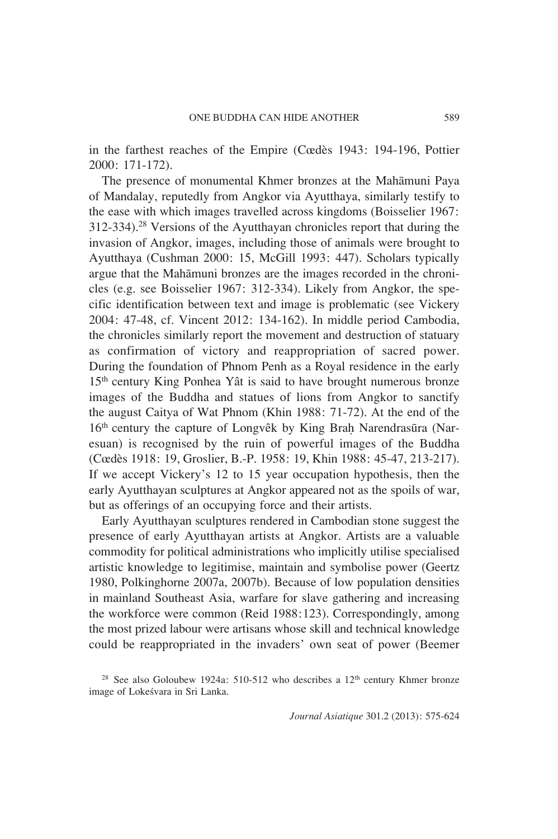in the farthest reaches of the Empire (Cœdès 1943: 194-196, Pottier 2000: 171-172).

The presence of monumental Khmer bronzes at the Mahamuni Paya of Mandalay, reputedly from Angkor via Ayutthaya, similarly testify to the ease with which images travelled across kingdoms (Boisselier 1967: 312-334).28 Versions of the Ayutthayan chronicles report that during the invasion of Angkor, images, including those of animals were brought to Ayutthaya (Cushman 2000: 15, McGill 1993: 447). Scholars typically argue that the Mahamuni bronzes are the images recorded in the chronicles (e.g. see Boisselier 1967: 312-334). Likely from Angkor, the specific identification between text and image is problematic (see Vickery 2004: 47-48, cf. Vincent 2012: 134-162). In middle period Cambodia, the chronicles similarly report the movement and destruction of statuary as confirmation of victory and reappropriation of sacred power. During the foundation of Phnom Penh as a Royal residence in the early 15th century King Ponhea Yât is said to have brought numerous bronze images of the Buddha and statues of lions from Angkor to sanctify the august Caitya of Wat Phnom (Khin 1988: 71-72). At the end of the  $16<sup>th</sup>$  century the capture of Longvêk by King Brah Narendrasūra (Naresuan) is recognised by the ruin of powerful images of the Buddha (Cœdès 1918: 19, Groslier, B.-P. 1958: 19, Khin 1988: 45-47, 213-217). If we accept Vickery's 12 to 15 year occupation hypothesis, then the early Ayutthayan sculptures at Angkor appeared not as the spoils of war, but as offerings of an occupying force and their artists.

Early Ayutthayan sculptures rendered in Cambodian stone suggest the presence of early Ayutthayan artists at Angkor. Artists are a valuable commodity for political administrations who implicitly utilise specialised artistic knowledge to legitimise, maintain and symbolise power (Geertz 1980, Polkinghorne 2007a, 2007b). Because of low population densities in mainland Southeast Asia, warfare for slave gathering and increasing the workforce were common (Reid 1988:123). Correspondingly, among the most prized labour were artisans whose skill and technical knowledge could be reappropriated in the invaders' own seat of power (Beemer

<sup>&</sup>lt;sup>28</sup> See also Goloubew 1924a: 510-512 who describes a  $12<sup>th</sup>$  century Khmer bronze image of Lokesvara in Sri Lanka.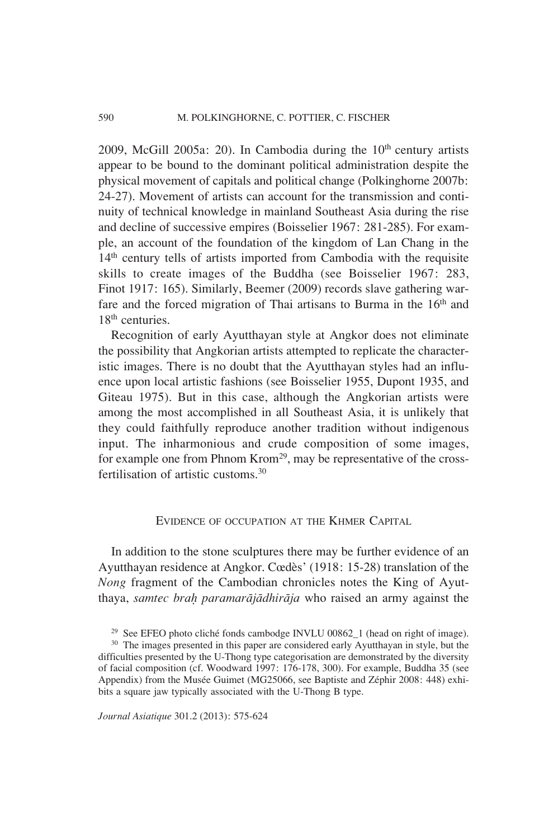2009, McGill 2005a: 20). In Cambodia during the  $10<sup>th</sup>$  century artists appear to be bound to the dominant political administration despite the physical movement of capitals and political change (Polkinghorne 2007b: 24-27). Movement of artists can account for the transmission and continuity of technical knowledge in mainland Southeast Asia during the rise and decline of successive empires (Boisselier 1967: 281-285). For example, an account of the foundation of the kingdom of Lan Chang in the 14<sup>th</sup> century tells of artists imported from Cambodia with the requisite skills to create images of the Buddha (see Boisselier 1967: 283, Finot 1917: 165). Similarly, Beemer (2009) records slave gathering warfare and the forced migration of Thai artisans to Burma in the 16<sup>th</sup> and 18<sup>th</sup> centuries.

Recognition of early Ayutthayan style at Angkor does not eliminate the possibility that Angkorian artists attempted to replicate the characteristic images. There is no doubt that the Ayutthayan styles had an influence upon local artistic fashions (see Boisselier 1955, Dupont 1935, and Giteau 1975). But in this case, although the Angkorian artists were among the most accomplished in all Southeast Asia, it is unlikely that they could faithfully reproduce another tradition without indigenous input. The inharmonious and crude composition of some images, for example one from Phnom Krom29, may be representative of the crossfertilisation of artistic customs.30

## EVIDENCE OF OCCUPATION AT THE KHMER CAPITAL

In addition to the stone sculptures there may be further evidence of an Ayutthayan residence at Angkor. Cœdès' (1918: 15-28) translation of the *Nong* fragment of the Cambodian chronicles notes the King of Ayutthaya, *samtec braÌ paramarajadhiraja* who raised an army against the

<sup>30</sup> The images presented in this paper are considered early Ayutthayan in style, but the difficulties presented by the U-Thong type categorisation are demonstrated by the diversity of facial composition (cf. Woodward 1997: 176-178, 300). For example, Buddha 35 (see Appendix) from the Musée Guimet (MG25066, see Baptiste and Zéphir 2008: 448) exhibits a square jaw typically associated with the U-Thong B type.

<sup>&</sup>lt;sup>29</sup> See EFEO photo cliché fonds cambodge INVLU 00862\_1 (head on right of image).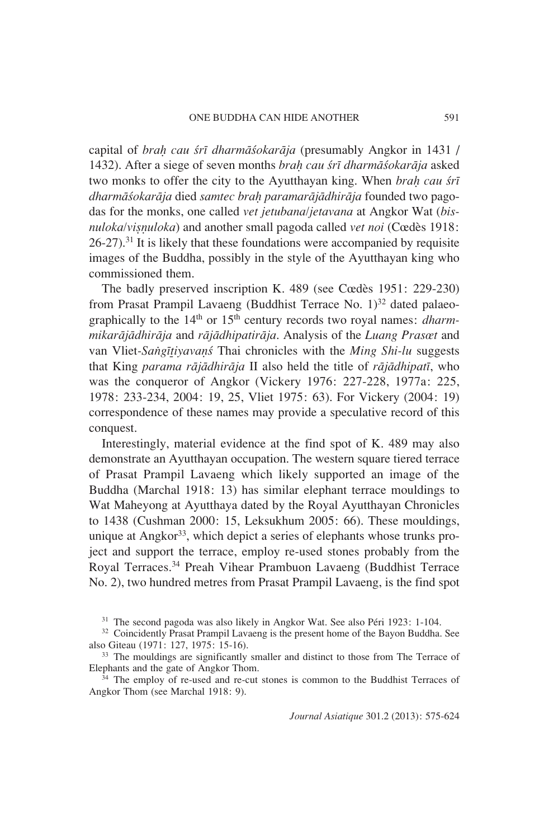capital of *braÌ cau sri dharmasokaraja* (presumably Angkor in 1431 / 1432). After a siege of seven months *braÌ cau sri dharmasokaraja* asked two monks to offer the city to the Ayutthayan king. When *braÌ cau sri dharmasokaraja* died *samtec braÌ paramarajadhiraja* founded two pagodas for the monks, one called *vet jetubana/jetavana* at Angkor Wat (*bisnuloka/visnuloka*) and another small pagoda called *vet noi* (Cœdès 1918:  $26-27$ .<sup>31</sup> It is likely that these foundations were accompanied by requisite images of the Buddha, possibly in the style of the Ayutthayan king who commissioned them.

The badly preserved inscription K. 489 (see Cœdès 1951: 229-230) from Prasat Prampil Lavaeng (Buddhist Terrace No.  $1$ )<sup>32</sup> dated palaeographically to the 14th or 15th century records two royal names: *dharmmikarajadhiraja* and *rajadhipatiraja*. Analysis of the *Luang Prasœt* and van Vliet*-Sangi†iyava∞s* Thai chronicles with the *Ming Shi-lu* suggests that King *parama rajadhiraja* II also held the title of *rajadhipati*, who was the conqueror of Angkor (Vickery 1976: 227-228, 1977a: 225, 1978: 233-234, 2004: 19, 25, Vliet 1975: 63). For Vickery (2004: 19) correspondence of these names may provide a speculative record of this conquest.

Interestingly, material evidence at the find spot of K. 489 may also demonstrate an Ayutthayan occupation. The western square tiered terrace of Prasat Prampil Lavaeng which likely supported an image of the Buddha (Marchal 1918: 13) has similar elephant terrace mouldings to Wat Maheyong at Ayutthaya dated by the Royal Ayutthayan Chronicles to 1438 (Cushman 2000: 15, Leksukhum 2005: 66). These mouldings, unique at Angkor<sup>33</sup>, which depict a series of elephants whose trunks project and support the terrace, employ re-used stones probably from the Royal Terraces.34 Preah Vihear Prambuon Lavaeng (Buddhist Terrace No. 2), two hundred metres from Prasat Prampil Lavaeng, is the find spot

<sup>34</sup> The employ of re-used and re-cut stones is common to the Buddhist Terraces of Angkor Thom (see Marchal 1918: 9).

<sup>31</sup> The second pagoda was also likely in Angkor Wat. See also Péri 1923: 1-104.

 $32$  Coincidently Prasat Prampil Lavaeng is the present home of the Bayon Buddha. See also Giteau (1971: 127, 1975: 15-16).

 $33$  The mouldings are significantly smaller and distinct to those from The Terrace of Elephants and the gate of Angkor Thom.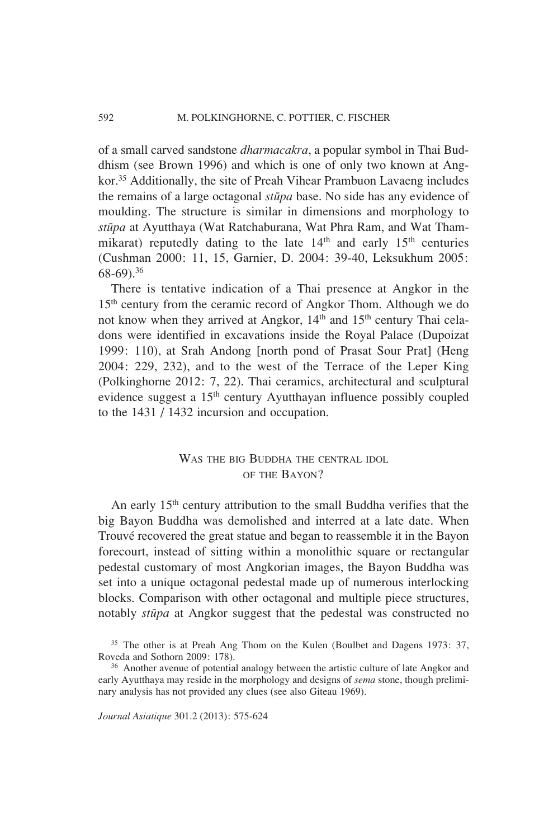of a small carved sandstone *dharmacakra*, a popular symbol in Thai Buddhism (see Brown 1996) and which is one of only two known at Angkor.35 Additionally, the site of Preah Vihear Prambuon Lavaeng includes the remains of a large octagonal *stupa* base. No side has any evidence of moulding. The structure is similar in dimensions and morphology to *stupa* at Ayutthaya (Wat Ratchaburana, Wat Phra Ram, and Wat Thammikarat) reputedly dating to the late  $14<sup>th</sup>$  and early  $15<sup>th</sup>$  centuries ( Cushman 2000: 11, 15, Garnier, D. 2004: 39-40, Leksukhum 2005: 68-69).36

There is tentative indication of a Thai presence at Angkor in the 15<sup>th</sup> century from the ceramic record of Angkor Thom. Although we do not know when they arrived at Angkor, 14<sup>th</sup> and 15<sup>th</sup> century Thai celadons were identified in excavations inside the Royal Palace (Dupoizat 1999: 110), at Srah Andong [north pond of Prasat Sour Prat] (Heng 2004: 229, 232), and to the west of the Terrace of the Leper King ( Polkinghorne 2012: 7, 22). Thai ceramics, architectural and sculptural evidence suggest a 15<sup>th</sup> century Ayutthayan influence possibly coupled to the 1431 / 1432 incursion and occupation.

## WAS THE BIG BUDDHA THE CENTRAL IDOL OF THE BAYON?

An early 15<sup>th</sup> century attribution to the small Buddha verifies that the big Bayon Buddha was demolished and interred at a late date. When Trouvé recovered the great statue and began to reassemble it in the Bayon forecourt, instead of sitting within a monolithic square or rectangular pedestal customary of most Angkorian images, the Bayon Buddha was set into a unique octagonal pedestal made up of numerous interlocking blocks. Comparison with other octagonal and multiple piece structures, notably *stupa* at Angkor suggest that the pedestal was constructed no

<sup>35</sup> The other is at Preah Ang Thom on the Kulen (Boulbet and Dagens 1973: 37, Roveda and Sothorn 2009: 178).

<sup>&</sup>lt;sup>36</sup> Another avenue of potential analogy between the artistic culture of late Angkor and early Ayutthaya may reside in the morphology and designs of *sema* stone, though preliminary analysis has not provided any clues (see also Giteau 1969).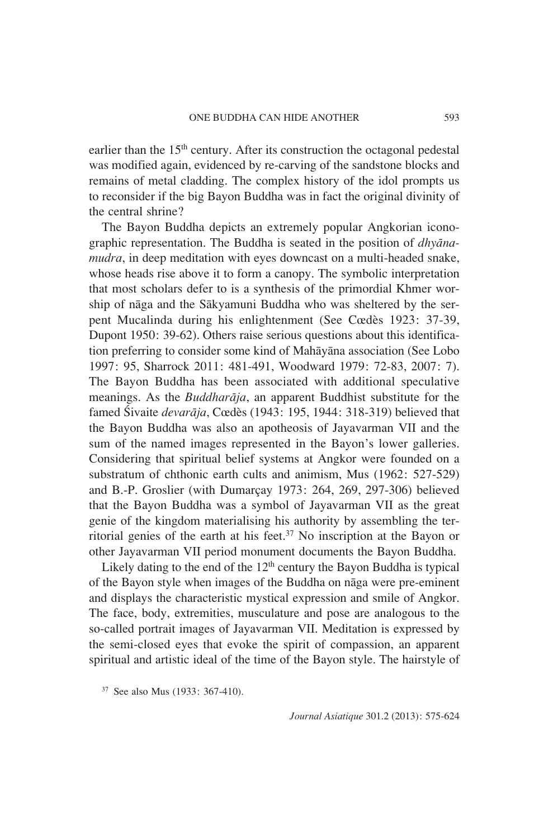earlier than the 15<sup>th</sup> century. After its construction the octagonal pedestal was modified again, evidenced by re-carving of the sandstone blocks and remains of metal cladding. The complex history of the idol prompts us to reconsider if the big Bayon Buddha was in fact the original divinity of the central shrine?

The Bayon Buddha depicts an extremely popular Angkorian iconographic representation. The Buddha is seated in the position of *dhyanamudra*, in deep meditation with eyes downcast on a multi-headed snake, whose heads rise above it to form a canopy. The symbolic interpretation that most scholars defer to is a synthesis of the primordial Khmer worship of naga and the Sakyamuni Buddha who was sheltered by the serpent Mucalinda during his enlightenment (See Cœdès 1923: 37-39, Dupont 1950: 39-62). Others raise serious questions about this identification preferring to consider some kind of Mahayana association (See Lobo 1997: 95, Sharrock 2011: 481-491, Woodward 1979: 72-83, 2007: 7). The Bayon Buddha has been associated with additional speculative meanings. As the *Buddharaja*, an apparent Buddhist substitute for the famed Sivaite *devaraja*, Cœdès (1943: 195, 1944: 318-319) believed that the Bayon Buddha was also an apotheosis of Jayavarman VII and the sum of the named images represented in the Bayon's lower galleries. Considering that spiritual belief systems at Angkor were founded on a substratum of chthonic earth cults and animism, Mus (1962: 527-529) and B.-P. Groslier (with Dumarçay 1973: 264, 269, 297-306) believed that the Bayon Buddha was a symbol of Jayavarman VII as the great genie of the kingdom materialising his authority by assembling the territorial genies of the earth at his feet. $37$  No inscription at the Bayon or other Jayavarman VII period monument documents the Bayon Buddha.

Likely dating to the end of the  $12<sup>th</sup>$  century the Bayon Buddha is typical of the Bayon style when images of the Buddha on naga were pre-eminent and displays the characteristic mystical expression and smile of Angkor. The face, body, extremities, musculature and pose are analogous to the so-called portrait images of Jayavarman VII. Meditation is expressed by the semi-closed eyes that evoke the spirit of compassion, an apparent spiritual and artistic ideal of the time of the Bayon style. The hairstyle of

<sup>37</sup> See also Mus (1933: 367-410).

*Journal Asiatique* 301.2 (2013): 575-624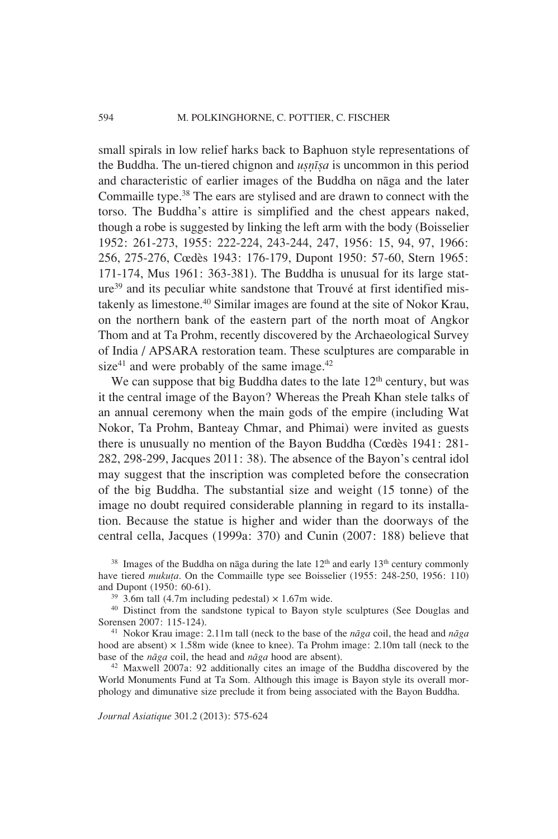small spirals in low relief harks back to Baphuon style representations of the Buddha. The un-tiered chignon and *u⊗ntisa* is uncommon in this period and characteristic of earlier images of the Buddha on naga and the later Commaille type.38 The ears are stylised and are drawn to connect with the torso. The Buddha's attire is simplified and the chest appears naked, though a robe is suggested by linking the left arm with the body ( Boisselier 1952: 261-273, 1955: 222-224, 243-244, 247, 1956: 15, 94, 97, 1966: 256, 275-276, Cœdès 1943: 176-179, Dupont 1950: 57-60, Stern 1965: 171-174, Mus 1961: 363-381). The Buddha is unusual for its large stature39 and its peculiar white sandstone that Trouvé at first identified mistakenly as limestone.40 Similar images are found at the site of Nokor Krau, on the northern bank of the eastern part of the north moat of Angkor Thom and at Ta Prohm, recently discovered by the Archaeological Survey of India / APSARA restoration team. These sculptures are comparable in size<sup>41</sup> and were probably of the same image.<sup>42</sup>

We can suppose that big Buddha dates to the late  $12<sup>th</sup>$  century, but was it the central image of the Bayon? Whereas the Preah Khan stele talks of an annual ceremony when the main gods of the empire (including Wat Nokor, Ta Prohm, Banteay Chmar, and Phimai) were invited as guests there is unusually no mention of the Bayon Buddha (Cœdès 1941: 281- 282, 298-299, Jacques 2011: 38). The absence of the Bayon's central idol may suggest that the inscription was completed before the consecration of the big Buddha. The substantial size and weight (15 tonne) of the image no doubt required considerable planning in regard to its installation. Because the statue is higher and wider than the doorways of the central cella, Jacques (1999a: 370) and Cunin (2007: 188) believe that

 $38$  Images of the Buddha on naga during the late  $12<sup>th</sup>$  and early  $13<sup>th</sup>$  century commonly have tiered *muku†a*. On the Commaille type see Boisselier (1955: 248-250, 1956: 110)

<sup>39</sup> 3.6m tall (4.7m including pedestal)  $\times$  1.67m wide.

40 Distinct from the sandstone typical to Bayon style sculptures (See Douglas and Sorensen 2007: 115-124). 41 Nokor Krau image: 2.11m tall (neck to the base of the *naga* coil, the head and *naga*

hood are absent) × 1.58m wide (knee to knee). Ta Prohm image: 2.10m tall (neck to the base of the *naga* coil, the head and *naga* hood are absent).

<sup>42</sup> Maxwell 2007a: 92 additionally cites an image of the Buddha discovered by the World Monuments Fund at Ta Som. Although this image is Bayon style its overall morphology and dimunative size preclude it from being associated with the Bayon Buddha.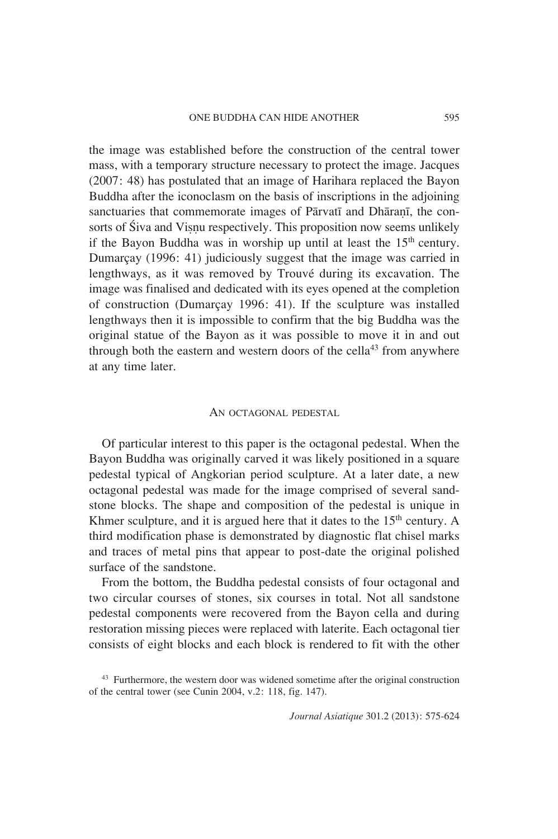the image was established before the construction of the central tower mass, with a temporary structure necessary to protect the image. Jacques (2007: 48) has postulated that an image of Harihara replaced the Bayon Buddha after the iconoclasm on the basis of inscriptions in the adjoining sanctuaries that commemorate images of Pārvatī and Dhāranī, the consorts of Siva and Visnu respectively. This proposition now seems unlikely if the Bayon Buddha was in worship up until at least the 15<sup>th</sup> century. Dumarçay (1996: 41) judiciously suggest that the image was carried in lengthways, as it was removed by Trouvé during its excavation. The image was finalised and dedicated with its eyes opened at the completion of construction (Dumarçay 1996: 41). If the sculpture was installed lengthways then it is impossible to confirm that the big Buddha was the original statue of the Bayon as it was possible to move it in and out through both the eastern and western doors of the cella<sup>43</sup> from anywhere at any time later.

#### AN OCTAGONAL PEDESTAL

Of particular interest to this paper is the octagonal pedestal. When the Bayon Buddha was originally carved it was likely positioned in a square pedestal typical of Angkorian period sculpture. At a later date, a new octagonal pedestal was made for the image comprised of several sandstone blocks. The shape and composition of the pedestal is unique in Khmer sculpture, and it is argued here that it dates to the  $15<sup>th</sup>$  century. A third modification phase is demonstrated by diagnostic flat chisel marks and traces of metal pins that appear to post-date the original polished surface of the sandstone.

From the bottom, the Buddha pedestal consists of four octagonal and two circular courses of stones, six courses in total. Not all sandstone pedestal components were recovered from the Bayon cella and during restoration missing pieces were replaced with laterite. Each octagonal tier consists of eight blocks and each block is rendered to fit with the other

<sup>43</sup> Furthermore, the western door was widened sometime after the original construction of the central tower (see Cunin 2004, v.2: 118, fig. 147).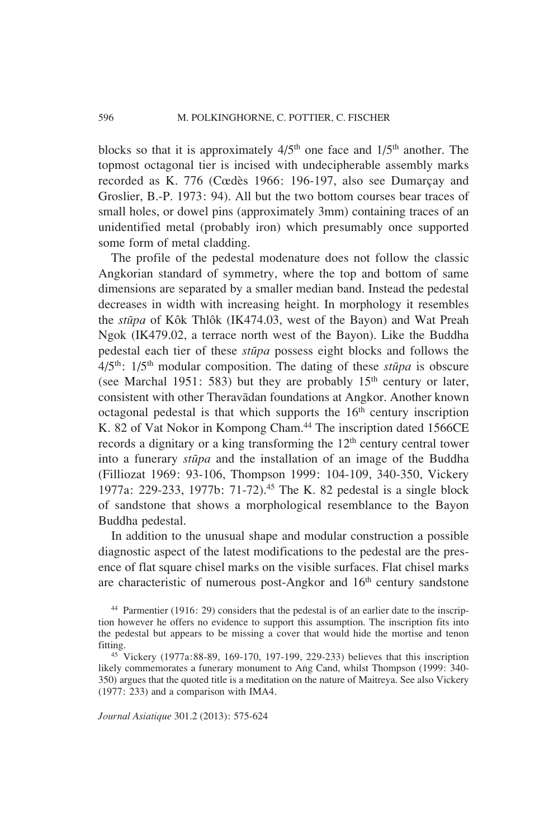blocks so that it is approximately  $4/5<sup>th</sup>$  one face and  $1/5<sup>th</sup>$  another. The topmost octagonal tier is incised with undecipherable assembly marks recorded as K. 776 (Cœdès 1966: 196-197, also see Dumarçay and Groslier, B.-P. 1973: 94). All but the two bottom courses bear traces of small holes, or dowel pins (approximately 3mm) containing traces of an unidentified metal (probably iron) which presumably once supported some form of metal cladding.

The profile of the pedestal modenature does not follow the classic Angkorian standard of symmetry, where the top and bottom of same dimensions are separated by a smaller median band. Instead the pedestal decreases in width with increasing height. In morphology it resembles the *stupa* of Kôk Thlôk (IK474.03, west of the Bayon) and Wat Preah Ngok (IK479.02, a terrace north west of the Bayon). Like the Buddha pedestal each tier of these *stupa* possess eight blocks and follows the 4/5th: 1/5th modular composition. The dating of these *stupa* is obscure (see Marchal 1951: 583) but they are probably  $15<sup>th</sup>$  century or later, consistent with other Theravadan foundations at Angkor. Another known octagonal pedestal is that which supports the  $16<sup>th</sup>$  century inscription K. 82 of Vat Nokor in Kompong Cham.<sup>44</sup> The inscription dated 1566CE records a dignitary or a king transforming the 12<sup>th</sup> century central tower into a funerary *stupa* and the installation of an image of the Buddha ( Filliozat 1969: 93-106, Thompson 1999: 104-109, 340-350, Vickery 1977a: 229-233, 1977b: 71-72).45 The K. 82 pedestal is a single block of sandstone that shows a morphological resemblance to the Bayon Buddha pedestal.

In addition to the unusual shape and modular construction a possible diagnostic aspect of the latest modifications to the pedestal are the presence of flat square chisel marks on the visible surfaces. Flat chisel marks are characteristic of numerous post-Angkor and 16<sup>th</sup> century sandstone

likely commemorates a funerary monument to Ang Cand, whilst Thompson (1999: 340-350) argues that the quoted title is a meditation on the nature of Maitreya. See also Vickery (1977: 233) and a comparison with IMA4.

<sup>44</sup> Parmentier (1916: 29) considers that the pedestal is of an earlier date to the inscription however he offers no evidence to support this assumption. The inscription fits into the pedestal but appears to be missing a cover that would hide the mortise and tenon fitting. 45 Vickery (1977a:88-89, 169-170, 197-199, 229-233) believes that this inscription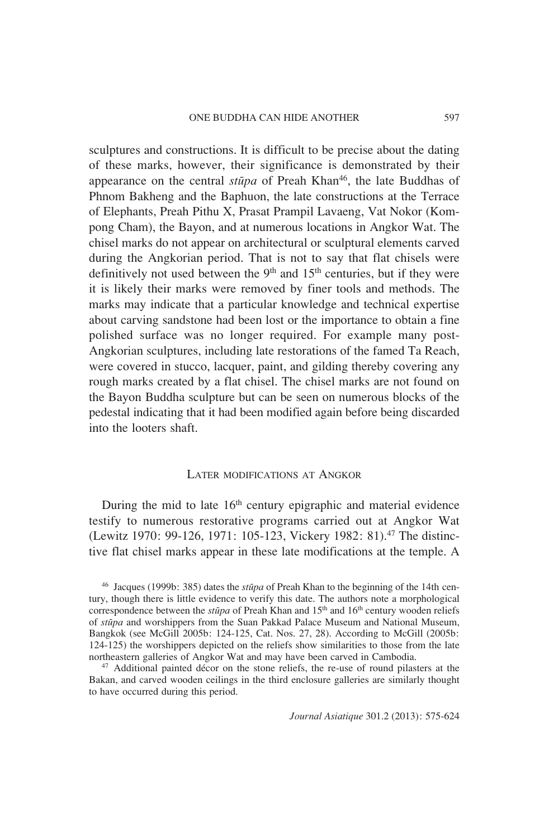sculptures and constructions. It is difficult to be precise about the dating of these marks, however, their significance is demonstrated by their appearance on the central *stupa* of Preah Khan<sup>46</sup>, the late Buddhas of Phnom Bakheng and the Baphuon, the late constructions at the Terrace of Elephants, Preah Pithu X, Prasat Prampil Lavaeng, Vat Nokor (Kompong Cham), the Bayon, and at numerous locations in Angkor Wat. The chisel marks do not appear on architectural or sculptural elements carved during the Angkorian period. That is not to say that flat chisels were definitively not used between the  $9<sup>th</sup>$  and  $15<sup>th</sup>$  centuries, but if they were it is likely their marks were removed by finer tools and methods. The marks may indicate that a particular knowledge and technical expertise about carving sandstone had been lost or the importance to obtain a fine polished surface was no longer required. For example many post-Angkorian sculptures, including late restorations of the famed Ta Reach, were covered in stucco, lacquer, paint, and gilding thereby covering any rough marks created by a flat chisel. The chisel marks are not found on the Bayon Buddha sculpture but can be seen on numerous blocks of the pedestal indicating that it had been modified again before being discarded into the looters shaft.

#### LATER MODIFICATIONS AT ANGKOR

During the mid to late  $16<sup>th</sup>$  century epigraphic and material evidence testify to numerous restorative programs carried out at Angkor Wat (Lewitz 1970: 99-126, 1971: 105-123, Vickery 1982: 81).47 The distinctive flat chisel marks appear in these late modifications at the temple. A

46 Jacques (1999b: 385) dates the *stupa* of Preah Khan to the beginning of the 14th century, though there is little evidence to verify this date. The authors note a morphological correspondence between the *stūpa* of Preah Khan and 15<sup>th</sup> and 16<sup>th</sup> century wooden reliefs of *stupa* and worshippers from the Suan Pakkad Palace Museum and National Museum, Bangkok (see McGill 2005b: 124-125, Cat. Nos. 27, 28). According to McGill (2005b: 124-125) the worshippers depicted on the reliefs show similarities to those from the late northeastern galleries of Angkor Wat and may have been carved in Cambodia.

<sup>47</sup> Additional painted décor on the stone reliefs, the re-use of round pilasters at the Bakan, and carved wooden ceilings in the third enclosure galleries are similarly thought to have occurred during this period.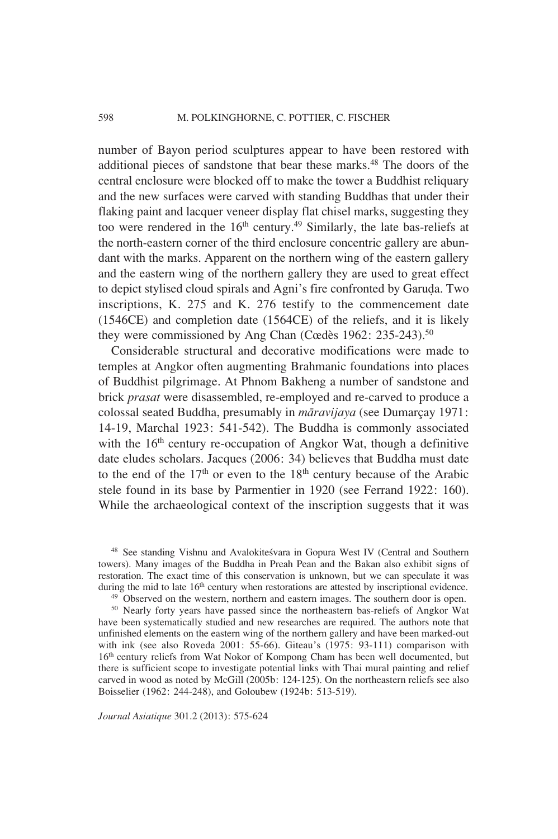number of Bayon period sculptures appear to have been restored with additional pieces of sandstone that bear these marks.<sup>48</sup> The doors of the central enclosure were blocked off to make the tower a Buddhist reliquary and the new surfaces were carved with standing Buddhas that under their flaking paint and lacquer veneer display flat chisel marks, suggesting they too were rendered in the 16<sup>th</sup> century.<sup>49</sup> Similarly, the late bas-reliefs at the north-eastern corner of the third enclosure concentric gallery are abundant with the marks. Apparent on the northern wing of the eastern gallery and the eastern wing of the northern gallery they are used to great effect to depict stylised cloud spirals and Agni's fire confronted by Garu∂a. Two inscriptions, K. 275 and K. 276 testify to the commencement date (1546CE) and completion date (1564CE) of the reliefs, and it is likely they were commissioned by Ang Chan (Cœdès 1962: 235-243).<sup>50</sup>

Considerable structural and decorative modifications were made to temples at Angkor often augmenting Brahmanic foundations into places of Buddhist pilgrimage. At Phnom Bakheng a number of sandstone and brick *prasat* were disassembled, re-employed and re-carved to produce a colossal seated Buddha, presumably in *maravijaya* (see Dumarçay 1971: 14-19, Marchal 1923: 541-542). The Buddha is commonly associated with the 16<sup>th</sup> century re-occupation of Angkor Wat, though a definitive date eludes scholars. Jacques (2006: 34) believes that Buddha must date to the end of the  $17<sup>th</sup>$  or even to the  $18<sup>th</sup>$  century because of the Arabic stele found in its base by Parmentier in 1920 (see Ferrand 1922: 160). While the archaeological context of the inscription suggests that it was

48 See standing Vishnu and Avalokitesvara in Gopura West IV (Central and Southern towers). Many images of the Buddha in Preah Pean and the Bakan also exhibit signs of restoration. The exact time of this conservation is unknown, but we can speculate it was during the mid to late  $16<sup>th</sup>$  century when restorations are attested by inscriptional evidence.

 $49$  Observed on the western, northern and eastern images. The southern door is open.

50 Nearly forty years have passed since the northeastern bas-reliefs of Angkor Wat have been systematically studied and new researches are required. The authors note that unfinished elements on the eastern wing of the northern gallery and have been marked-out with ink (see also Roveda 2001: 55-66). Giteau's (1975: 93-111) comparison with 16th century reliefs from Wat Nokor of Kompong Cham has been well documented, but there is sufficient scope to investigate potential links with Thai mural painting and relief carved in wood as noted by McGill (2005b: 124-125). On the northeastern reliefs see also Boisselier (1962: 244-248), and Goloubew (1924b: 513-519).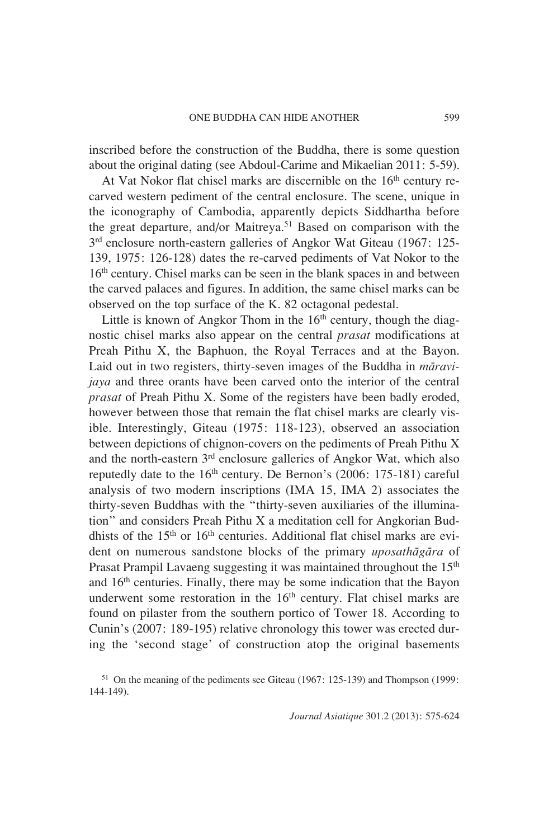inscribed before the construction of the Buddha, there is some question about the original dating (see Abdoul-Carime and Mikaelian 2011: 5-59).

At Vat Nokor flat chisel marks are discernible on the  $16<sup>th</sup>$  century recarved western pediment of the central enclosure. The scene, unique in the iconography of Cambodia, apparently depicts Siddhartha before the great departure, and/or Maitreya.51 Based on comparison with the 3rd enclosure north-eastern galleries of Angkor Wat Giteau (1967: 125- 139, 1975: 126-128) dates the re-carved pediments of Vat Nokor to the 16<sup>th</sup> century. Chisel marks can be seen in the blank spaces in and between the carved palaces and figures. In addition, the same chisel marks can be observed on the top surface of the K. 82 octagonal pedestal.

Little is known of Angkor Thom in the  $16<sup>th</sup>$  century, though the diagnostic chisel marks also appear on the central *prasat* modifications at Preah Pithu X, the Baphuon, the Royal Terraces and at the Bayon. Laid out in two registers, thirty-seven images of the Buddha in *maravijaya* and three orants have been carved onto the interior of the central *prasat* of Preah Pithu X. Some of the registers have been badly eroded, however between those that remain the flat chisel marks are clearly visible. Interestingly, Giteau (1975: 118-123), observed an association between depictions of chignon-covers on the pediments of Preah Pithu X and the north-eastern 3rd enclosure galleries of Angkor Wat, which also reputedly date to the  $16<sup>th</sup>$  century. De Bernon's (2006: 175-181) careful analysis of two modern inscriptions (IMA 15, IMA 2) associates the thirty-seven Buddhas with the "thirty-seven auxiliaries of the illumination" and considers Preah Pithu X a meditation cell for Angkorian Buddhists of the 15<sup>th</sup> or 16<sup>th</sup> centuries. Additional flat chisel marks are evident on numerous sandstone blocks of the primary *uposathagara* of Prasat Prampil Lavaeng suggesting it was maintained throughout the 15<sup>th</sup> and 16th centuries. Finally, there may be some indication that the Bayon underwent some restoration in the  $16<sup>th</sup>$  century. Flat chisel marks are found on pilaster from the southern portico of Tower 18. According to Cunin's (2007: 189-195) relative chronology this tower was erected during the 'second stage' of construction atop the original basements

<sup>51</sup> On the meaning of the pediments see Giteau (1967: 125-139) and Thompson (1999: 144-149).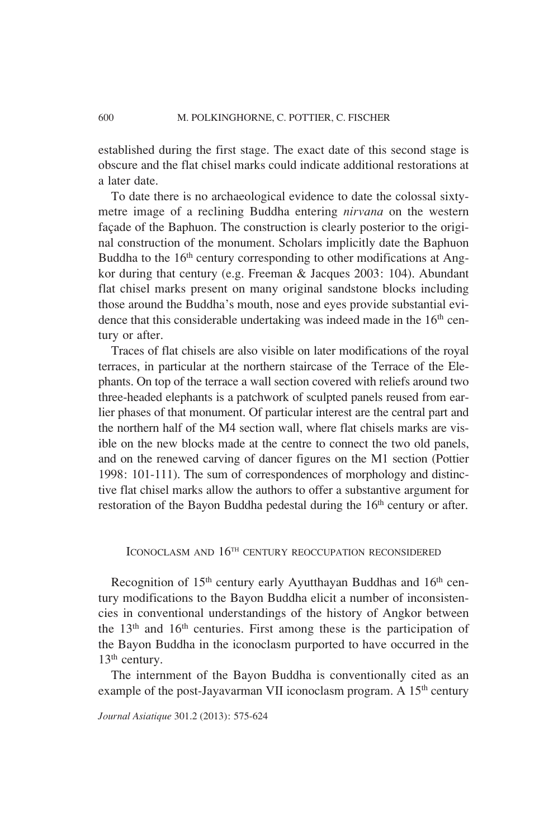established during the first stage. The exact date of this second stage is obscure and the flat chisel marks could indicate additional restorations at a later date.

To date there is no archaeological evidence to date the colossal sixtymetre image of a reclining Buddha entering *nirvana* on the western façade of the Baphuon. The construction is clearly posterior to the original construction of the monument. Scholars implicitly date the Baphuon Buddha to the  $16<sup>th</sup>$  century corresponding to other modifications at Angkor during that century (e.g. Freeman & Jacques 2003: 104). Abundant flat chisel marks present on many original sandstone blocks including those around the Buddha's mouth, nose and eyes provide substantial evidence that this considerable undertaking was indeed made in the  $16<sup>th</sup>$  century or after.

Traces of flat chisels are also visible on later modifications of the royal terraces, in particular at the northern staircase of the Terrace of the Elephants. On top of the terrace a wall section covered with reliefs around two three-headed elephants is a patchwork of sculpted panels reused from earlier phases of that monument. Of particular interest are the central part and the northern half of the M4 section wall, where flat chisels marks are visible on the new blocks made at the centre to connect the two old panels, and on the renewed carving of dancer figures on the M1 section (Pottier 1998: 101-111). The sum of correspondences of morphology and distinctive flat chisel marks allow the authors to offer a substantive argument for restoration of the Bayon Buddha pedestal during the 16<sup>th</sup> century or after.

# ICONOCLASM AND  $16^{TH}$  CENTURY REOCCUPATION RECONSIDERED

Recognition of 15<sup>th</sup> century early Ayutthayan Buddhas and 16<sup>th</sup> century modifications to the Bayon Buddha elicit a number of inconsistencies in conventional understandings of the history of Angkor between the  $13<sup>th</sup>$  and  $16<sup>th</sup>$  centuries. First among these is the participation of the Bayon Buddha in the iconoclasm purported to have occurred in the 13<sup>th</sup> century.

The internment of the Bayon Buddha is conventionally cited as an example of the post-Jayavarman VII iconoclasm program. A 15<sup>th</sup> century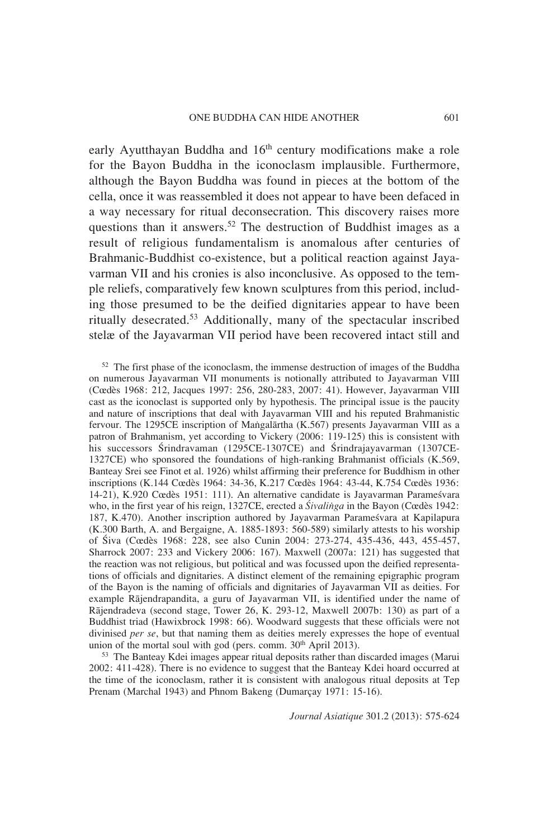early Ayutthayan Buddha and 16<sup>th</sup> century modifications make a role for the Bayon Buddha in the iconoclasm implausible. Furthermore, although the Bayon Buddha was found in pieces at the bottom of the cella, once it was reassembled it does not appear to have been defaced in a way necessary for ritual deconsecration. This discovery raises more questions than it answers.<sup>52</sup> The destruction of Buddhist images as a result of religious fundamentalism is anomalous after centuries of Brahmanic-Buddhist co-existence, but a political reaction against Jayavarman VII and his cronies is also inconclusive. As opposed to the temple reliefs, comparatively few known sculptures from this period, including those presumed to be the deified dignitaries appear to have been ritually desecrated.53 Additionally, many of the spectacular inscribed stelæ of the Jayavarman VII period have been recovered intact still and

52 The first phase of the iconoclasm, the immense destruction of images of the Buddha on numerous Jayavarman VII monuments is notionally attributed to Jayavarman VIII (Cœdès 1968: 212, Jacques 1997: 256, 280-283, 2007: 41). However, Jayavarman VIII cast as the iconoclast is supported only by hypothesis. The principal issue is the paucity and nature of inscriptions that deal with Jayavarman VIII and his reputed Brahmanistic fervour. The 1295CE inscription of Mangalartha (K.567) presents Jayavarman VIII as a patron of Brahmanism, yet according to Vickery (2006: 119-125) this is consistent with his successors Srindravaman (1295CE-1307CE) and Srindrajayavarman (1307CE-1327CE) who sponsored the foundations of high-ranking Brahmanist officials (K.569, Banteay Srei see Finot et al. 1926) whilst affirming their preference for Buddhism in other inscriptions (K.144 Cœdès 1964: 34-36, K.217 Cœdès 1964: 43-44, K.754 Cœdès 1936: 14-21), K.920 Cœdès 1951: 111). An alternative candidate is Jayavarman Paramesvara who, in the first year of his reign, 1327CE, erected a *Sivalinga* in the Bayon (Cœdès 1942: 187, K.470). Another inscription authored by Jayavarman Paramesvara at Kapilapura (K.300 Barth, A. and Bergaigne, A. 1885-1893: 560-589) similarly attests to his worship of Siva (Cœdès 1968: 228, see also Cunin 2004: 273-274, 435-436, 443, 455-457, Sharrock 2007: 233 and Vickery 2006: 167). Maxwell (2007a: 121) has suggested that the reaction was not religious, but political and was focussed upon the deified representations of officials and dignitaries. A distinct element of the remaining epigraphic program of the Bayon is the naming of officials and dignitaries of Jayavarman VII as deities. For example Rajendrapandita, a guru of Jayavarman VII, is identified under the name of Rajendradeva (second stage, Tower 26, K. 293-12, Maxwell 2007b: 130) as part of a Buddhist triad (Hawixbrock 1998: 66). Woodward suggests that these officials were not divinised *per se*, but that naming them as deities merely expresses the hope of eventual union of the mortal soul with god (pers. comm. 30<sup>th</sup> April 2013).

<sup>53</sup> The Banteay Kdei images appear ritual deposits rather than discarded images (Marui) 2002: 411-428). There is no evidence to suggest that the Banteay Kdei hoard occurred at the time of the iconoclasm, rather it is consistent with analogous ritual deposits at Tep Prenam (Marchal 1943) and Phnom Bakeng (Dumarçay 1971: 15-16).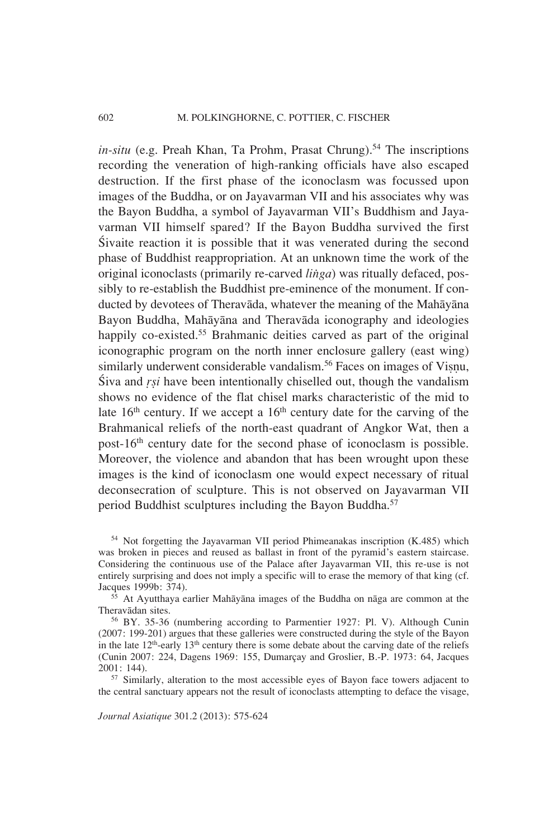$in-situ$  (e.g. Preah Khan, Ta Prohm, Prasat Chrung).<sup>54</sup> The inscriptions recording the veneration of high-ranking officials have also escaped destruction. If the first phase of the iconoclasm was focussed upon images of the Buddha, or on Jayavarman VII and his associates why was the Bayon Buddha, a symbol of Jayavarman VII's Buddhism and Jayavarman VII himself spared? If the Bayon Buddha survived the first Sivaite reaction it is possible that it was venerated during the second phase of Buddhist reappropriation. At an unknown time the work of the original iconoclasts (primarily re-carved *linga*) was ritually defaced, possibly to re-establish the Buddhist pre-eminence of the monument. If conducted by devotees of Theravada, whatever the meaning of the Mahayana Bayon Buddha, Mahāyāna and Theravāda iconography and ideologies happily co-existed.<sup>55</sup> Brahmanic deities carved as part of the original iconographic program on the north inner enclosure gallery (east wing) similarly underwent considerable vandalism.<sup>56</sup> Faces on images of Visnu, Siva and *rsi* have been intentionally chiselled out, though the vandalism shows no evidence of the flat chisel marks characteristic of the mid to late  $16<sup>th</sup>$  century. If we accept a  $16<sup>th</sup>$  century date for the carving of the Brahmanical reliefs of the north-east quadrant of Angkor Wat, then a post-16th century date for the second phase of iconoclasm is possible. Moreover, the violence and abandon that has been wrought upon these images is the kind of iconoclasm one would expect necessary of ritual deconsecration of sculpture. This is not observed on Jayavarman VII period Buddhist sculptures including the Bayon Buddha.<sup>57</sup>

54 Not forgetting the Jayavarman VII period Phimeanakas inscription (K.485) which was broken in pieces and reused as ballast in front of the pyramid's eastern staircase. Considering the continuous use of the Palace after Jayavarman VII, this re-use is not entirely surprising and does not imply a specific will to erase the memory of that king (cf. Jacques 1999b: 374).

 $55$  At Ayutthaya earlier Mahayana images of the Buddha on naga are common at the Theravadan sites.<br><sup>56</sup> BY. 35-36 (numbering according to Parmentier 1927: Pl. V). Although Cunin

(2007: 199-201) argues that these galleries were constructed during the style of the Bayon in the late 12<sup>th</sup>-early 13<sup>th</sup> century there is some debate about the carving date of the reliefs (Cunin 2007: 224, Dagens 1969: 155, Dumarçay and Groslier, B.-P. 1973: 64, Jacques 2001: 144). 57 Similarly, alteration to the most accessible eyes of Bayon face towers adjacent to

the central sanctuary appears not the result of iconoclasts attempting to deface the visage,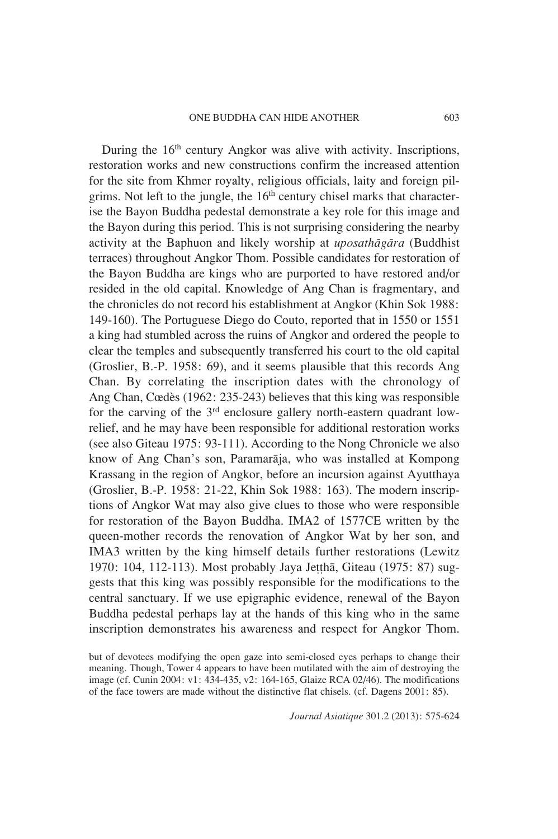During the  $16<sup>th</sup>$  century Angkor was alive with activity. Inscriptions, restoration works and new constructions confirm the increased attention for the site from Khmer royalty, religious officials, laity and foreign pilgrims. Not left to the jungle, the  $16<sup>th</sup>$  century chisel marks that characterise the Bayon Buddha pedestal demonstrate a key role for this image and the Bayon during this period. This is not surprising considering the nearby activity at the Baphuon and likely worship at *uposathagara* (Buddhist terraces) throughout Angkor Thom. Possible candidates for restoration of the Bayon Buddha are kings who are purported to have restored and/or resided in the old capital. Knowledge of Ang Chan is fragmentary, and the chronicles do not record his establishment at Angkor (Khin Sok 1988: 149-160). The Portuguese Diego do Couto, reported that in 1550 or 1551 a king had stumbled across the ruins of Angkor and ordered the people to clear the temples and subsequently transferred his court to the old capital (Groslier, B.-P. 1958: 69), and it seems plausible that this records Ang Chan. By correlating the inscription dates with the chronology of Ang Chan, Cœdès (1962: 235-243) believes that this king was responsible for the carving of the  $3<sup>rd</sup>$  enclosure gallery north-eastern quadrant lowrelief, and he may have been responsible for additional restoration works (see also Giteau 1975: 93-111). According to the Nong Chronicle we also know of Ang Chan's son, Paramaraja, who was installed at Kompong Krassang in the region of Angkor, before an incursion against Ayutthaya (Groslier, B.-P. 1958: 21-22, Khin Sok 1988: 163). The modern inscriptions of Angkor Wat may also give clues to those who were responsible for restoration of the Bayon Buddha. IMA2 of 1577CE written by the queen-mother records the renovation of Angkor Wat by her son, and IMA3 written by the king himself details further restorations (Lewitz 1970: 104, 112-113). Most probably Jaya Je††ha, Giteau (1975: 87) suggests that this king was possibly responsible for the modifications to the central sanctuary. If we use epigraphic evidence, renewal of the Bayon Buddha pedestal perhaps lay at the hands of this king who in the same inscription demonstrates his awareness and respect for Angkor Thom.

but of devotees modifying the open gaze into semi-closed eyes perhaps to change their meaning. Though, Tower 4 appears to have been mutilated with the aim of destroying the image (cf. Cunin 2004: v1: 434-435, v2: 164-165, Glaize RCA 02/46). The modifications of the face towers are made without the distinctive flat chisels. (cf. Dagens 2001: 85).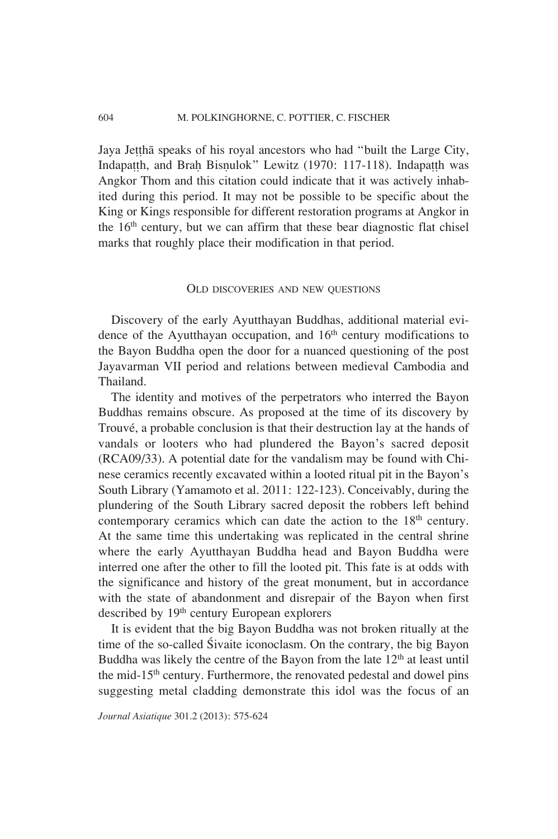Jaya Jettha speaks of his royal ancestors who had "built the Large City, Indapatth, and Brah Bisnulok" Lewitz (1970: 117-118). Indapatth was Angkor Thom and this citation could indicate that it was actively inhabited during this period. It may not be possible to be specific about the King or Kings responsible for different restoration programs at Angkor in the  $16<sup>th</sup>$  century, but we can affirm that these bear diagnostic flat chisel marks that roughly place their modification in that period.

#### OLD DISCOVERIES AND NEW QUESTIONS

Discovery of the early Ayutthayan Buddhas, additional material evidence of the Ayutthayan occupation, and  $16<sup>th</sup>$  century modifications to the Bayon Buddha open the door for a nuanced questioning of the post Jayavarman VII period and relations between medieval Cambodia and Thailand.

The identity and motives of the perpetrators who interred the Bayon Buddhas remains obscure. As proposed at the time of its discovery by Trouvé, a probable conclusion is that their destruction lay at the hands of vandals or looters who had plundered the Bayon's sacred deposit (RCA09/33). A potential date for the vandalism may be found with Chinese ceramics recently excavated within a looted ritual pit in the Bayon's South Library (Yamamoto et al. 2011: 122-123). Conceivably, during the plundering of the South Library sacred deposit the robbers left behind contemporary ceramics which can date the action to the 18<sup>th</sup> century. At the same time this undertaking was replicated in the central shrine where the early Ayutthayan Buddha head and Bayon Buddha were interred one after the other to fill the looted pit. This fate is at odds with the significance and history of the great monument, but in accordance with the state of abandonment and disrepair of the Bayon when first described by 19<sup>th</sup> century European explorers

It is evident that the big Bayon Buddha was not broken ritually at the time of the so-called Sivaite iconoclasm. On the contrary, the big Bayon Buddha was likely the centre of the Bayon from the late  $12<sup>th</sup>$  at least until the mid-15<sup>th</sup> century. Furthermore, the renovated pedestal and dowel pins suggesting metal cladding demonstrate this idol was the focus of an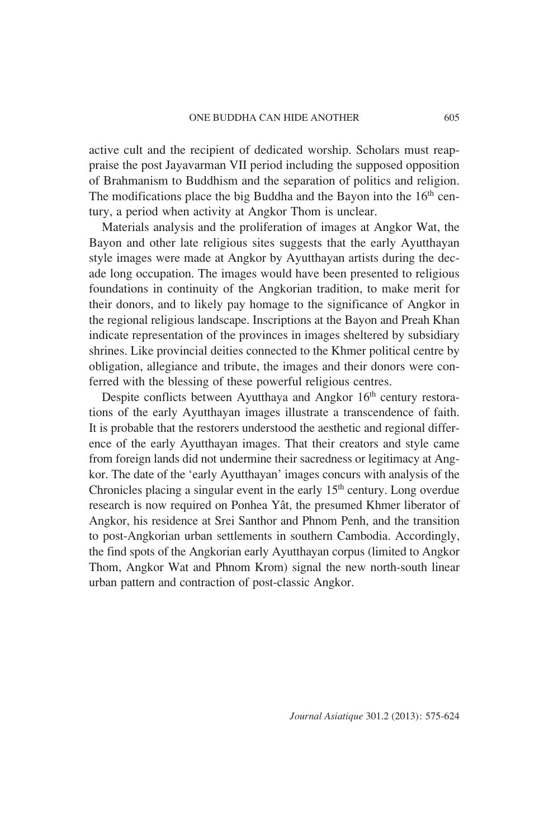active cult and the recipient of dedicated worship. Scholars must reappraise the post Jayavarman VII period including the supposed opposition of Brahmanism to Buddhism and the separation of politics and religion. The modifications place the big Buddha and the Bayon into the 16<sup>th</sup> century, a period when activity at Angkor Thom is unclear.

Materials analysis and the proliferation of images at Angkor Wat, the Bayon and other late religious sites suggests that the early Ayutthayan style images were made at Angkor by Ayutthayan artists during the decade long occupation. The images would have been presented to religious foundations in continuity of the Angkorian tradition, to make merit for their donors, and to likely pay homage to the significance of Angkor in the regional religious landscape. Inscriptions at the Bayon and Preah Khan indicate representation of the provinces in images sheltered by subsidiary shrines. Like provincial deities connected to the Khmer political centre by obligation, allegiance and tribute, the images and their donors were conferred with the blessing of these powerful religious centres.

Despite conflicts between Ayutthaya and Angkor 16<sup>th</sup> century restorations of the early Ayutthayan images illustrate a transcendence of faith. It is probable that the restorers understood the aesthetic and regional difference of the early Ayutthayan images. That their creators and style came from foreign lands did not undermine their sacredness or legitimacy at Angkor. The date of the 'early Ayutthayan' images concurs with analysis of the Chronicles placing a singular event in the early  $15<sup>th</sup>$  century. Long overdue research is now required on Ponhea Yât, the presumed Khmer liberator of Angkor, his residence at Srei Santhor and Phnom Penh, and the transition to post-Angkorian urban settlements in southern Cambodia. Accordingly, the find spots of the Angkorian early Ayutthayan corpus (limited to Angkor Thom, Angkor Wat and Phnom Krom) signal the new north-south linear urban pattern and contraction of post-classic Angkor.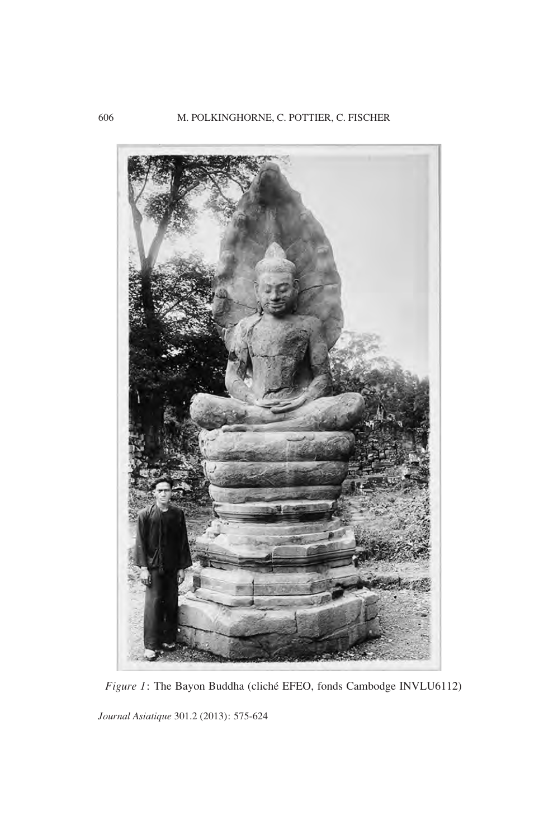

*Figure 1*: The Bayon Buddha (cliché EFEO, fonds Cambodge INVLU6112)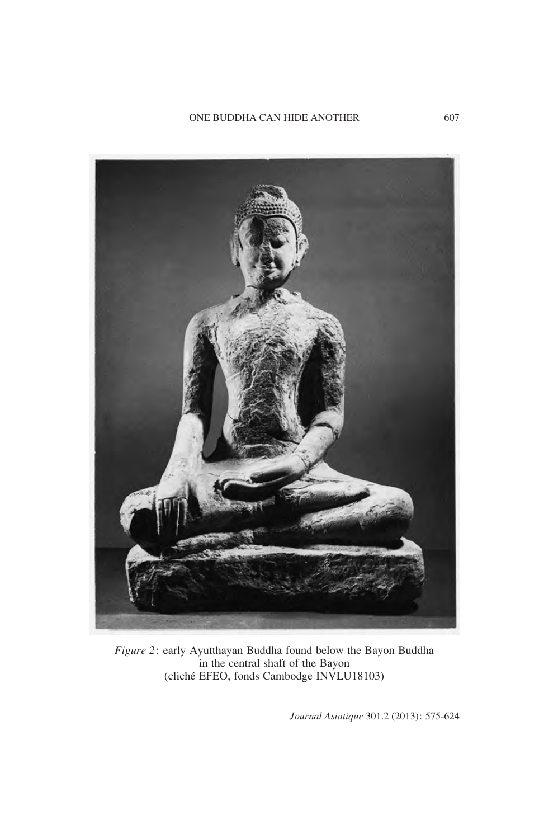

*Figure 2*: early Ayutthayan Buddha found below the Bayon Buddha in the central shaft of the Bayon (cliché EFEO, fonds Cambodge INVLU18103)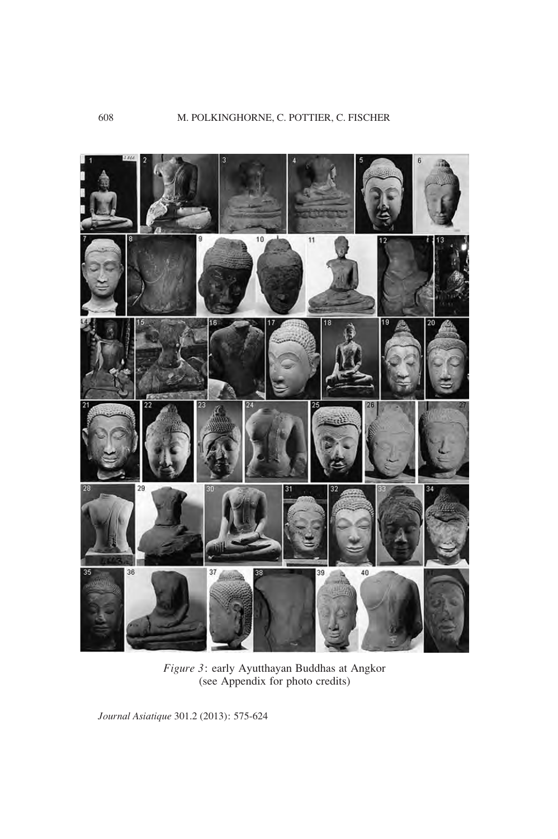

*Figure 3*: early Ayutthayan Buddhas at Angkor (see Appendix for photo credits)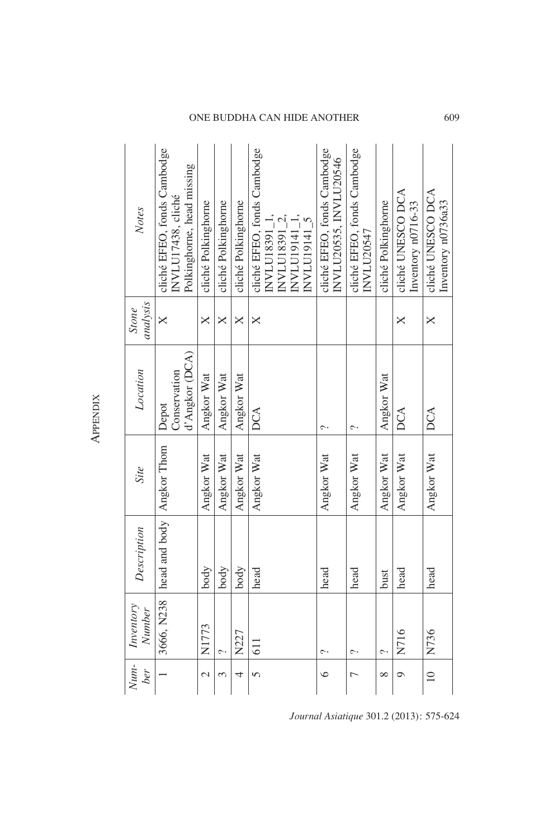| Notes                      | cliché EFEO, fonds Cambodge<br>Polkinghorne, head missing<br>NVLU17438, cliché | cliché Polkinghorne | cliché Polkinghorne | cliché Polkinghorne | cliché EFEO, fonds Cambodge<br>NVLU18391_1, | INVLU18391_2, | INVLU19141_1,<br>NVLU19141_5 | cliché EFEO, fonds Cambodge<br>INVLU20535, INVLU20546 | cliché EFEO, fonds Cambodge<br>INVILU20547 | cliché Polkinghorne | cliché UNESCO DCA<br>Inventory n0716-33 | cliché UNESCO DCA<br>Inventory n0736a33 |
|----------------------------|--------------------------------------------------------------------------------|---------------------|---------------------|---------------------|---------------------------------------------|---------------|------------------------------|-------------------------------------------------------|--------------------------------------------|---------------------|-----------------------------------------|-----------------------------------------|
| analysis<br>Stone          | $\times$                                                                       | ×                   | ×                   | ×                   | ×                                           |               |                              |                                                       |                                            |                     | ×                                       | ×                                       |
| Location                   | d'Angkor (DCA)<br>Conservation<br>Depot                                        | Angkor Wat          | Angkor Wat          | Angkor Wat          | DCA                                         |               |                              | $\sim$                                                | $\sim$                                     | Angkor Wat          | DCA                                     | DCA                                     |
| Site                       |                                                                                | Angkor Wat          | Angkor Wat          | Angkor Wat          | Angkor Wat                                  |               |                              | Angkor Wat                                            | Angkor Wat                                 | Angkor Wat          | Angkor Wat                              | Angkor Wat                              |
| Description                | head and body   Angkor Thom                                                    | body                | body                | body                | head                                        |               |                              | head                                                  | head                                       | bust                | head                                    | head                                    |
| Inventory<br><b>Number</b> | 3666, N238                                                                     | N1773               | $\sim$              | N227                | <b>611</b>                                  |               |                              | $\sim$                                                | $\sim$                                     | ç                   | N716                                    | N736                                    |
| $N$ um-<br>ber             |                                                                                | $\mathcal{L}$       | $\omega$            | 4                   | $\sqrt{2}$                                  |               |                              | ७                                                     | $\overline{a}$                             | $\infty$            | $\circ$                                 | $\supseteq$                             |

APPENDIX **APPENDIX** 

*Journal Asiatique* 301.2 (2013): 575-624

ONE BUDDHA CAN HIDE ANOTHER 609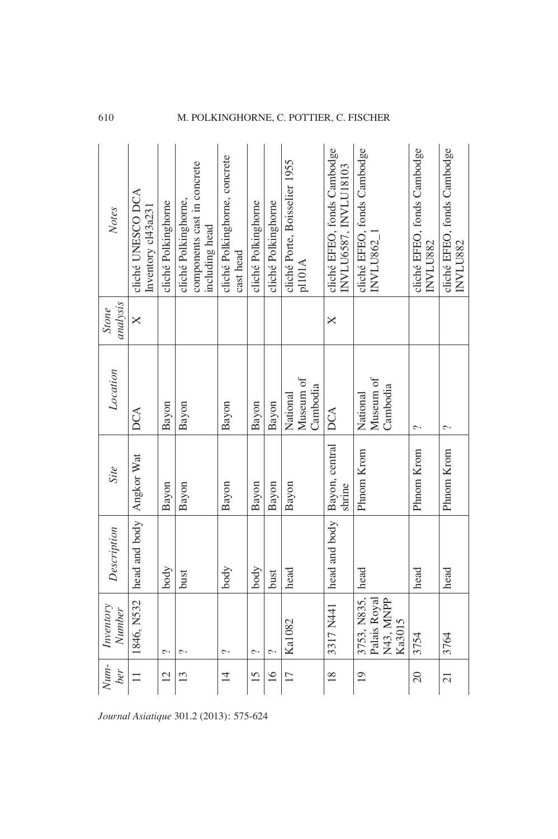| Notes                                   | cliché UNESCO DCA<br>Inventory cl43a231 | cliché Polkinghorne | components cast in concrete<br>cliché Polkinghorne,<br>including head | cliché Polkinghorne, concrete<br>cast head | cliché Polkinghorne | cliché Polkinghorne | cliché Porte, Boisselier 1955<br>p1101A | cliché EFEO, fonds Cambodge<br>INVLU6587, INVLU18103 | cliché EFEO, fonds Cambodge<br>NVLU862_            | cliché EFEO, fonds Cambodge<br>INVLU882 | cliché EFEO, fonds Cambodge<br>INVLU882 |
|-----------------------------------------|-----------------------------------------|---------------------|-----------------------------------------------------------------------|--------------------------------------------|---------------------|---------------------|-----------------------------------------|------------------------------------------------------|----------------------------------------------------|-----------------------------------------|-----------------------------------------|
| analysis<br>Stone                       | $\times$                                |                     |                                                                       |                                            |                     |                     |                                         | ×                                                    |                                                    |                                         |                                         |
| Location                                | DCA                                     | Bayon               | Bayon                                                                 | Bayon                                      | Bayon               | Bayon               | Museum of<br>Cambodia<br>National       | DCA                                                  | Museum of<br>Cambodia<br>National                  | ç.                                      | ç.                                      |
| Site                                    |                                         | Bayon               | Bayon                                                                 | Bayon                                      | Bayon               | Bayon               | Bayon                                   | Bayon, central<br>shrine                             | Phnom Krom                                         | Phnom Krom                              | Phnom Krom                              |
| Description                             | 1846, N532 head and body Angkor Wat     | body                | bust                                                                  | body                                       | body                | bust                | head                                    | head and body                                        | head                                               | head                                    | head                                    |
| Inventory<br><b>Number</b>              |                                         | $\hat{\phantom{a}}$ | ب                                                                     | $\sim$                                     | $\sim$              | ᠭ                   | Ka1082                                  | 3317 N441                                            | 3753, N835,<br>N43, MNPP<br>Palais Royal<br>Ka3015 | 3754                                    | 3764                                    |
| $N$ um-<br>ber                          | $\Box$                                  | $\overline{12}$     | 13                                                                    | $\overline{1}$                             | 15                  | 16                  | 17                                      | $\frac{8}{18}$                                       | $\overline{19}$                                    | 20                                      | $\overline{21}$                         |
| Journal Asiatique 301.2 (2013): 575-624 |                                         |                     |                                                                       |                                            |                     |                     |                                         |                                                      |                                                    |                                         |                                         |

## 610 M. POLKINGHORNE, C. POTTIER, C. FISCHER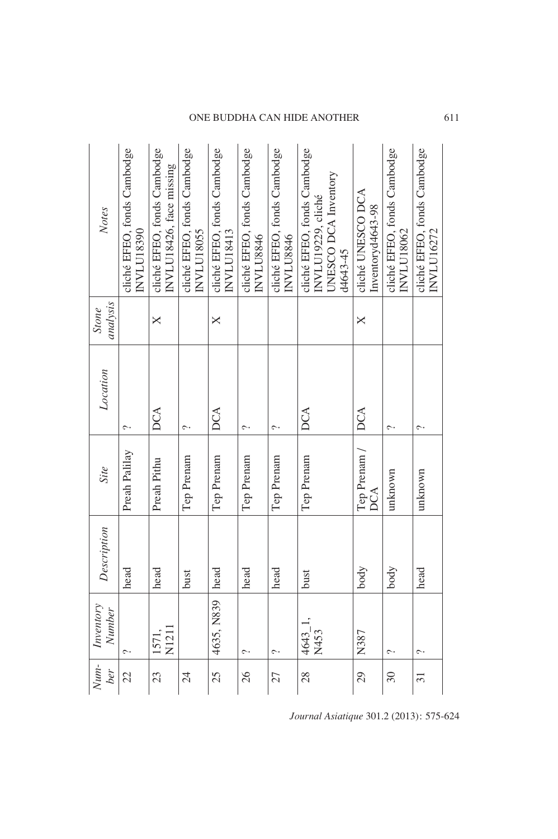| Notes               | cliché EFEO, fonds Cambodge<br>INVLU18390 | cliché EFEO, fonds Cambodge<br>INVLU18426, face missing | cliché EFEO, fonds Cambodge<br>INVLU18055 | cliché EFEO, fonds Cambodge<br><b>INVLU18413</b> | cliché EFEO, fonds Cambodge<br>INVLU8846 | cliché EFEO, fonds Cambodge<br>INVLU8846 | cliché EFEO, fonds Cambodge<br>UNESCO DCA Inventory<br>INVLU19229, cliché<br>d4643-45 | cliché UNESCO DCA<br>Inventoryd4643-98 | cliché EFEO, fonds Cambodge<br><b>INVLU18062</b> | cliché EFEO, fonds Cambodge<br>INVLU16272 |
|---------------------|-------------------------------------------|---------------------------------------------------------|-------------------------------------------|--------------------------------------------------|------------------------------------------|------------------------------------------|---------------------------------------------------------------------------------------|----------------------------------------|--------------------------------------------------|-------------------------------------------|
| analysis<br>Stone   |                                           | $\boldsymbol{\times}$                                   |                                           | X                                                |                                          |                                          |                                                                                       | $\times$                               |                                                  |                                           |
| Location            | $\sim$                                    | <b>DCA</b>                                              | $\hat{\phantom{a}}$                       | DCA                                              | $\sim$                                   | $\sim$                                   | DCA                                                                                   | DCA                                    | $\sim$                                           | $\hat{\phantom{a}}$                       |
| Site                | Preah Palilay                             | Preah Pithu                                             | Tep Prenam                                | Tep Prenam                                       | Tep Prenam                               | Tep Prenam                               | Tep Prenam                                                                            | Tep Prenam /<br>DCA                    | unknown                                          | unknown                                   |
| Description         | head                                      | head                                                    | bust                                      | head                                             | head                                     | head                                     | bust                                                                                  | body                                   | body                                             | head                                      |
| Inventory<br>Number |                                           | N1211<br>1571,                                          |                                           | 4635, N839                                       | $\sim$                                   | $\sim$                                   | 4643_1,<br>N453                                                                       | N387                                   | $\sim$                                           | $\hat{\phantom{a}}$                       |
| Num-<br>ber         | 22                                        | 23                                                      | 24                                        | 25                                               | 26                                       | 27                                       | 28                                                                                    | 29                                     | 30                                               | $\overline{31}$                           |

## ONE BUDDHA CAN HIDE ANOTHER 611

*Journal Asiatique* 301.2 (2013): 575-624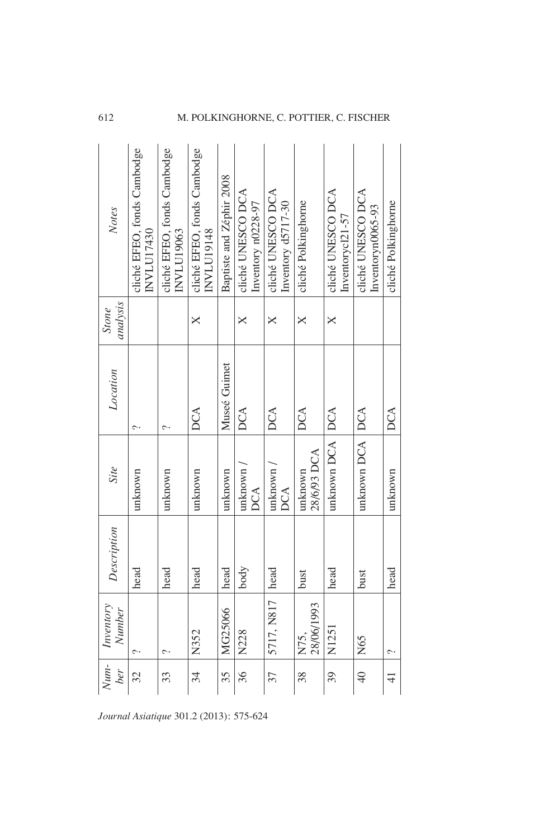|  | Notes                      | cliché EFEO, fonds Cambodge<br>INVLU17430 | cliché EFEO, fonds Cambodge<br>INVLU19063 | cliché EFEO, fonds Cambodge<br>INVLU19148 | Baptiste and Zéphir 2008 | cliché UNESCO DCA<br>Inventory n0228-97 | cliché UNESCO DCA<br>Inventory d5717-30 | cliché Polkinghome     | cliché UNESCO DCA<br>Inventorycl21-57 | cliché UNESCO DCA<br>Inventoryn0065-93 | cliché Polkinghorne |
|--|----------------------------|-------------------------------------------|-------------------------------------------|-------------------------------------------|--------------------------|-----------------------------------------|-----------------------------------------|------------------------|---------------------------------------|----------------------------------------|---------------------|
|  | analysis<br>Stone          |                                           |                                           | ×                                         |                          | ×                                       | ×                                       | ×                      | ×                                     |                                        |                     |
|  | Location                   | $\sim$                                    | ç.                                        | DCA                                       | Museé Guimet             | DCA                                     | DCA                                     | DCA                    |                                       |                                        | <b>DCA</b>          |
|  | Site                       | unknown                                   | unknown                                   | unknown                                   | unknown                  | unknown<br>DCA                          | unknown<br>DCA                          | 28/6/93 DCA<br>unknown | unknown DCA   DCA                     | unknown DCA   DCA                      | unknown             |
|  | Description                | head                                      | head                                      | head                                      | head                     | body                                    | head                                    | bust                   | head                                  | bust                                   | head                |
|  | Inventory<br><b>Number</b> |                                           | ᠭ                                         | N352                                      | MG25066                  | N228                                    | 5717, N817                              | 28/06/1993<br>N75,     | N1251                                 | N65                                    |                     |
|  | $N$ um-<br>ber             | 32                                        | 33                                        | 34                                        | 35                       | 36                                      | 37                                      | 38                     | 39                                    | $\frac{1}{2}$                          | $\frac{4}{5}$       |
|  | .2 (2013): 575-624<br>que  |                                           |                                           |                                           |                          |                                         |                                         |                        |                                       |                                        |                     |

## 612 M. POLKINGHORNE, C. POTTIER, C. FISCHER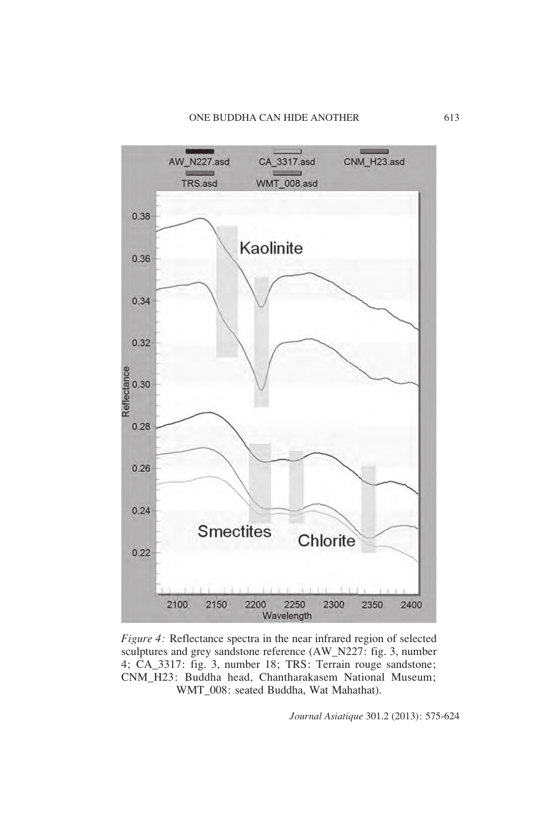

*Figure 4:* Reflectance spectra in the near infrared region of selected sculptures and grey sandstone reference (AW\_N227: fig. 3, number 4; CA\_3317: fig. 3, number 18; TRS: Terrain rouge sandstone; CNM\_H23: Buddha head, Chantharakasem National Museum; WMT\_008: seated Buddha, Wat Mahathat).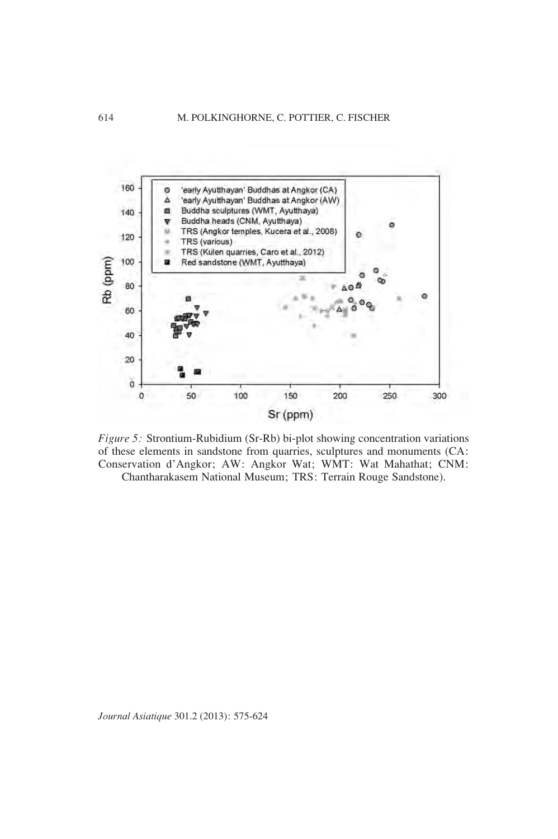

*Figure 5:* Strontium-Rubidium (Sr-Rb) bi-plot showing concentration variations of these elements in sandstone from quarries, sculptures and monuments (CA: Conservation d'Angkor; AW: Angkor Wat; WMT: Wat Mahathat; CNM: Chantharakasem National Museum; TRS: Terrain Rouge Sandstone).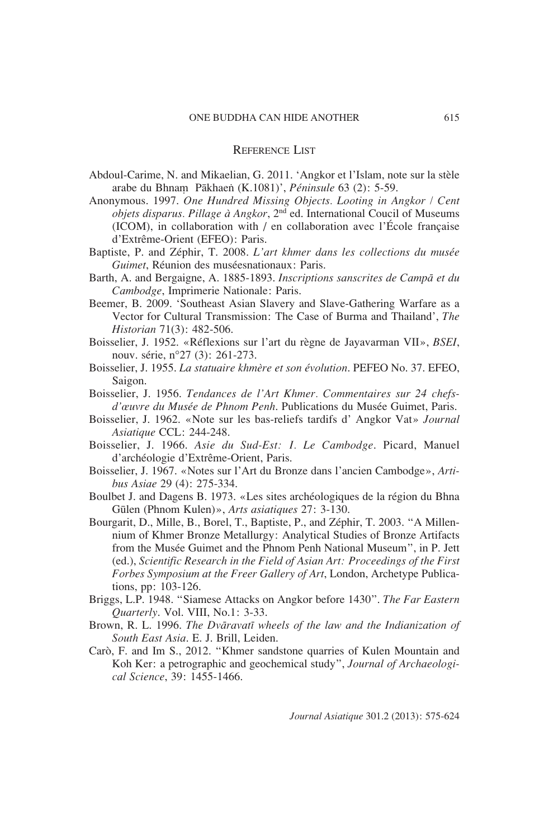## REFERENCE LIST

- Abdoul-Carime, N. and Mikaelian, G. 2011. 'Angkor et l'Islam, note sur la stèle arabe du Bhnam Pākhaen (K.1081)', *Péninsule* 63 (2): 5-59.
- Anonymous. 1997. *One Hundred Missing Objects. Looting in Angkor / Cent objets disparus. Pillage à Angkor*, 2nd ed. International Coucil of Museums (ICOM), in collaboration with / en collaboration avec l'École française d'Extrême-Orient (EFEO): Paris.
- Baptiste, P. and Zéphir, T. 2008. *L'art khmer dans les collections du musée Guimet*, Réunion des muséesnationaux: Paris.
- Barth, A. and Bergaigne, A. 1885-1893. *Inscriptions sanscrites de Campa et du Cambodge*, Imprimerie Nationale: Paris.
- Beemer, B. 2009. 'Southeast Asian Slavery and Slave-Gathering Warfare as a Vector for Cultural Transmission: The Case of Burma and Thailand', *The Historian* 71(3): 482-506.
- Boisselier, J. 1952. «Réflexions sur l'art du règne de Jayavarman VII», *BSEI*, nouv. série, n°27 (3): 261-273.
- Boisselier, J. 1955. *La statuaire khmère et son évolution*. PEFEO No. 37. EFEO, Saigon.
- Boisselier, J. 1956. *Tendances de l'Art Khmer. Commentaires sur 24 chefsd'œuvre du Musée de Phnom Penh*. Publications du Musée Guimet, Paris.
- Boisselier, J. 1962. «Note sur les bas-reliefs tardifs d' Angkor Vat» *Journal Asiatique* CCL: 244-248.
- Boisselier, J. 1966. *Asie du Sud-Est: I. Le Cambodge*. Picard, Manuel d'archéologie d'Extrême-Orient, Paris.
- Boisselier, J. 1967. «Notes sur l'Art du Bronze dans l'ancien Cambodge», *Artibus Asiae* 29 (4): 275-334.
- Boulbet J. and Dagens B. 1973. «Les sites archéologiques de la région du Bhna Gülen (Phnom Kulen)», *Arts asiatiques* 27: 3-130.
- Bourgarit, D., Mille, B., Borel, T., Baptiste, P., and Zéphir, T. 2003. "A Millennium of Khmer Bronze Metallurgy: Analytical Studies of Bronze Artifacts from the Musée Guimet and the Phnom Penh National Museum", in P. Jett (ed.), *Scientific Research in the Field of Asian Art: Proceedings of the First Forbes Symposium at the Freer Gallery of Art*, London, Archetype Publications, pp: 103-126.
- Briggs, L.P. 1948. "Siamese Attacks on Angkor before 1430". *The Far Eastern Quarterly*. Vol. VIII, No.1: 3-33.
- Brown, R. L. 1996. *The Dvaravati wheels of the law and the Indianization of South East Asia*. E. J. Brill, Leiden.
- Carò, F. and Im S., 2012. "Khmer sandstone quarries of Kulen Mountain and Koh Ker: a petrographic and geochemical study", *Journal of Archaeological Science*, 39: 1455-1466.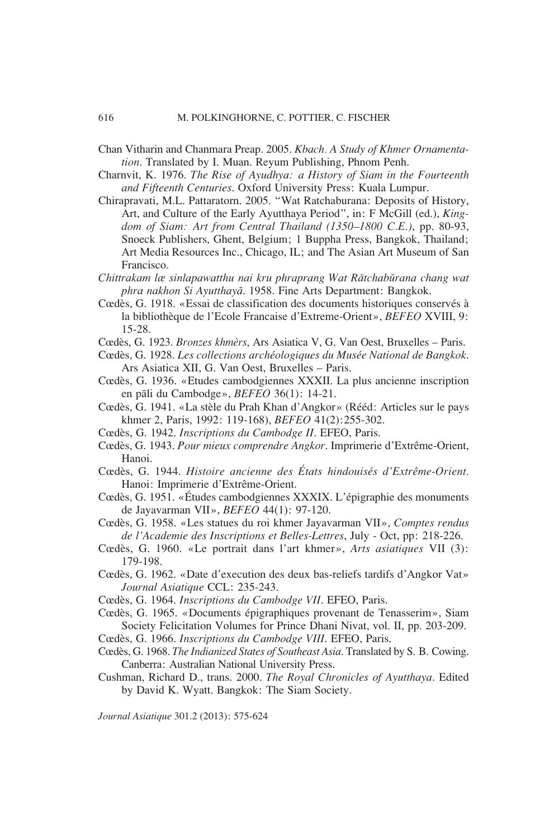- Chan Vitharin and Chanmara Preap. 2005. *Kbach. A Study of Khmer Ornamentation*. Translated by I. Muan. Reyum Publishing, Phnom Penh.
- Charnvit, K. 1976. *The Rise of Ayudhya: a History of Siam in the Fourteenth and Fifteenth Centuries*. Oxford University Press: Kuala Lumpur.
- Chirapravati, M.L. Pattaratorn. 2005. "Wat Ratchaburana: Deposits of History, Art, and Culture of the Early Ayutthaya Period", in: F McGill (ed.), *Kingdom of Siam: Art from Central Thailand (1350–1800 C.E.)*, pp. 80-93, Snoeck Publishers, Ghent, Belgium; 1 Buppha Press, Bangkok, Thailand; Art Media Resources Inc., Chicago, IL; and The Asian Art Museum of San Francisco.
- *Chittrakam læ sinlapawatthu nai kru phraprang Wat Ratchaburana chang wat phra nakhon Si Ayutthaya*. 1958. Fine Arts Department: Bangkok.
- Cœdès, G. 1918. «Essai de classification des documents historiques conservés à la bibliothèque de l'Ecole Francaise d'Extreme-Orient», *BEFEO* XVIII, 9: 15-28.
- Cœdès, G. 1923. *Bronzes khmèrs*, Ars Asiatica V, G. Van Oest, Bruxelles Paris.
- Cœdès, G. 1928. *Les collections archéologiques du Musée National de Bangkok*. Ars Asiatica XII, G. Van Oest, Bruxelles – Paris.
- Cœdès, G. 1936. «Etudes cambodgiennes XXXII. La plus ancienne inscription en pali du Cambodge», *BEFEO* 36(1): 14-21.
- Cœdès, G. 1941. «La stèle du Prah Khan d'Angkor» (Rééd: Articles sur le pays khmer 2, Paris, 1992: 119-168), *BEFEO* 41(2):255-302.
- Cœdès, G. 1942. *Inscriptions du Cambodge II*. EFEO, Paris.
- Cœdès, G. 1943. *Pour mieux comprendre Angkor*. Imprimerie d'Extrême-Orient, Hanoi.
- Cœdès, G. 1944. *Histoire ancienne des États hindouisés d'Extrême-Orient.* Hanoi: Imprimerie d'Extrême-Orient.
- Cœdès, G. 1951. «Études cambodgiennes XXXIX. L'épigraphie des monuments de Jayavarman VII», *BEFEO* 44(1): 97-120.
- Cœdès, G. 1958. «Les statues du roi khmer Jayavarman VII», *Comptes rendus de l'Academie des Inscriptions et Belles-Lettres*, July - Oct, pp: 218-226.
- Cœdès, G. 1960. «Le portrait dans l'art khmer», *Arts asiatiques* VII (3): 179-198.
- Cœdès, G. 1962. «Date d'execution des deux bas-reliefs tardifs d'Angkor Vat» *Journal Asiatique* CCL: 235-243.
- Cœdès, G. 1964. *Inscriptions du Cambodge VII*. EFEO, Paris.
- Cœdès, G. 1965. «Documents épigraphiques provenant de Tenasserim», Siam Society Felicitation Volumes for Prince Dhani Nivat, vol. II, pp. 203-209.
- Cœdès, G. 1966. *Inscriptions du Cambodge VIII*. EFEO, Paris.
- Cœdès, G. 1968. *The Indianized States of Southeast Asia*. Translated by S. B. Cowing. Canberra: Australian National University Press.
- Cushman, Richard D., trans. 2000. *The Royal Chronicles of Ayutthaya*. Edited by David K. Wyatt. Bangkok: The Siam Society.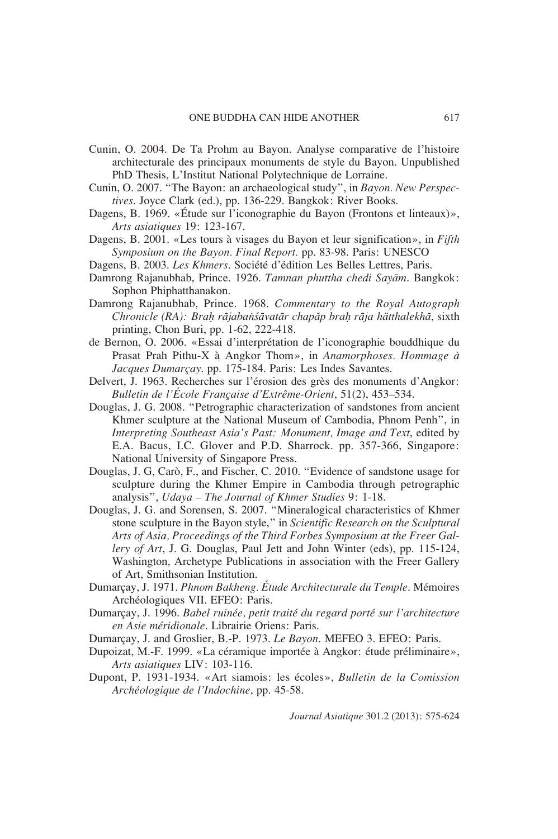- Cunin, O. 2004. De Ta Prohm au Bayon. Analyse comparative de l'histoire architecturale des principaux monuments de style du Bayon. Unpublished PhD Thesis, L'Institut National Polytechnique de Lorraine.
- Cunin, O. 2007. "The Bayon: an archaeological study", in *Bayon. New Perspectives*. Joyce Clark (ed.), pp. 136-229. Bangkok: River Books.
- Dagens, B. 1969. «Étude sur l'iconographie du Bayon (Frontons et linteaux)», *Arts asiatiques* 19: 123-167.
- Dagens, B. 2001. «Les tours à visages du Bayon et leur signification», in *Fifth Symposium on the Bayon. Final Report.* pp. 83-98. Paris: UNESCO
- Dagens, B. 2003. *Les Khmers*. Société d'édition Les Belles Lettres, Paris.
- Damrong Rajanubhab, Prince. 1926. *Tamnan phuttha chedi Sayam*. Bangkok: Sophon Phiphatthanakon.
- Damrong Rajanubhab, Prince. 1968. *Commentary to the Royal Autograph Chronicle (RA): BraÌ rajabansavatar chapap braÌ raja hätthalekha*, sixth printing, Chon Buri, pp. 1-62, 222-418.
- de Bernon, O. 2006. «Essai d'interprétation de l'iconographie bouddhique du Prasat Prah Pithu-X à Angkor Thom», in *Anamorphoses. Hommage à Jacques Dumarçay*. pp. 175-184. Paris: Les Indes Savantes.
- Delvert, J. 1963. Recherches sur l'érosion des grès des monuments d'Angkor: *Bulletin de l'École Française d'Extrême-Orient*, 51(2), 453–534.
- Douglas, J. G. 2008. "Petrographic characterization of sandstones from ancient Khmer sculpture at the National Museum of Cambodia, Phnom Penh", in *Interpreting Southeast Asia's Past: Monument, Image and Text*, edited by E.A. Bacus, I.C. Glover and P.D. Sharrock. pp. 357-366, Singapore: National University of Singapore Press.
- Douglas, J. G, Carò, F., and Fischer, C. 2010. "Evidence of sandstone usage for sculpture during the Khmer Empire in Cambodia through petrographic analysis", *Udaya – The Journal of Khmer Studies* 9: 1-18.
- Douglas, J. G. and Sorensen, S. 2007. "Mineralogical characteristics of Khmer stone sculpture in the Bayon style," in *Scientific Research on the Sculptural Arts of Asia, Proceedings of the Third Forbes Symposium at the Freer Gallery of Art*, J. G. Douglas, Paul Jett and John Winter (eds), pp. 115-124, Washington, Archetype Publications in association with the Freer Gallery of Art, Smithsonian Institution.
- Dumarçay, J. 1971. *Phnom Bakheng. Étude Architecturale du Temple*. Mémoires Archéologiques VII. EFEO: Paris.
- Dumarçay, J. 1996. *Babel ruinée, petit traité du regard porté sur l'architecture en Asie méridionale*. Librairie Oriens: Paris.
- Dumarçay, J. and Groslier, B.-P. 1973. *Le Bayon*. MEFEO 3. EFEO: Paris.
- Dupoizat, M.-F. 1999. «La céramique importée à Angkor: étude préliminaire», *Arts asiatiques* LIV: 103-116.
- Dupont, P. 1931-1934. «Art siamois: les écoles», *Bulletin de la Comission Archéologique de l'Indochine*, pp. 45-58.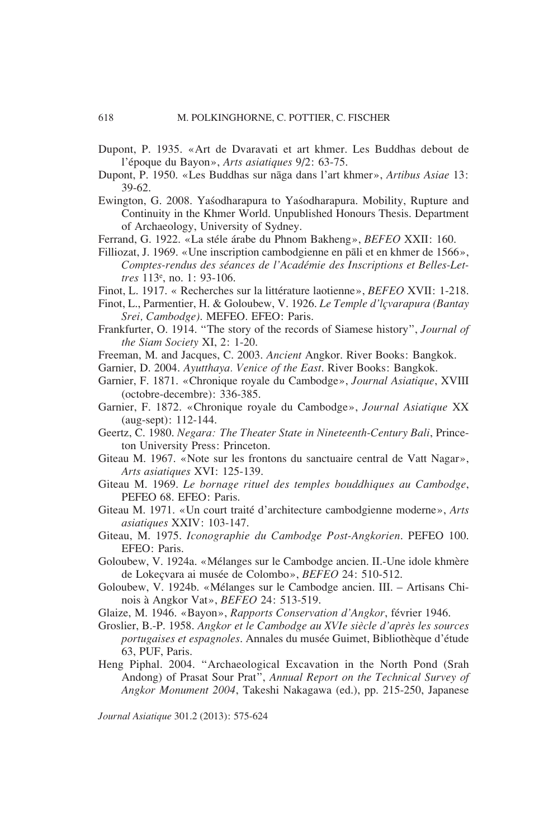- Dupont, P. 1935. «Art de Dvaravati et art khmer. Les Buddhas debout de l'époque du Bayon», *Arts asiatiques* 9/2: 63-75.
- Dupont, P. 1950. «Les Buddhas sur naga dans l'art khmer», *Artibus Asiae* 13: 39-62.
- Ewington, G. 2008. Yasodharapura to Yasodharapura. Mobility, Rupture and Continuity in the Khmer World. Unpublished Honours Thesis. Department of Archaeology, University of Sydney.
- Ferrand, G. 1922. «La stéle árabe du Phnom Bakheng», *BEFEO* XXII: 160.
- Filliozat, J. 1969. «Une inscription cambodgienne en pali et en khmer de 1566», *Comptes-rendus des séances de l'Académie des Inscriptions et Belles-Lettres* 113e , no. 1: 93-106.
- Finot, L. 1917. « Recherches sur la littérature laotienne», *BEFEO* XVII: 1-218.
- Finot, L., Parmentier, H. & Goloubew, V. 1926. *Le Temple d'lçvarapura (Bantay Srei, Cambodge)*. MEFEO. EFEO: Paris.
- Frankfurter, O. 1914. "The story of the records of Siamese history", *Journal of the Siam Society* XI, 2: 1-20.
- Freeman, M. and Jacques, C. 2003. *Ancient* Angkor. River Books: Bangkok.
- Garnier, D. 2004. *Ayutthaya. Venice of the East*. River Books: Bangkok.
- Garnier, F. 1871. «Chronique royale du Cambodge», *Journal Asiatique*, XVIII (octobre-decembre): 336-385.
- Garnier, F. 1872. «Chronique royale du Cambodge», *Journal Asiatique* XX (aug-sept): 112-144.
- Geertz, C. 1980. *Negara: The Theater State in Nineteenth-Century Bali*, Princeton University Press: Princeton.
- Giteau M. 1967. «Note sur les frontons du sanctuaire central de Vatt Nagar», *Arts asiatiques* XVI: 125-139.
- Giteau M. 1969. *Le bornage rituel des temples bouddhiques au Cambodge*, PEFEO 68. EFEO: Paris.
- Giteau M. 1971. «Un court traité d'architecture cambodgienne moderne», *Arts asiatiques* XXIV: 103-147.
- Giteau, M. 1975. *Iconographie du Cambodge Post-Angkorien*. PEFEO 100. EFEO: Paris.
- Goloubew, V. 1924a. «Mélanges sur le Cambodge ancien. II.-Une idole khmère de Lokeçvara ai musée de Colombo», *BEFEO* 24: 510-512.
- Goloubew, V. 1924b. «Mélanges sur le Cambodge ancien. III. Artisans Chinois à Angkor Vat», *BEFEO* 24: 513-519.
- Glaize, M. 1946. «Bayon», *Rapports Conservation d'Angkor*, février 1946.
- Groslier, B.-P. 1958. *Angkor et le Cambodge au XVIe siècle d'après les sources portugaises et espagnoles*. Annales du musée Guimet, Bibliothèque d'étude 63, PUF, Paris.
- Heng Piphal. 2004. "Archaeological Excavation in the North Pond (Srah Andong) of Prasat Sour Prat", *Annual Report on the Technical Survey of Angkor Monument 2004*, Takeshi Nakagawa (ed.), pp. 215-250, Japanese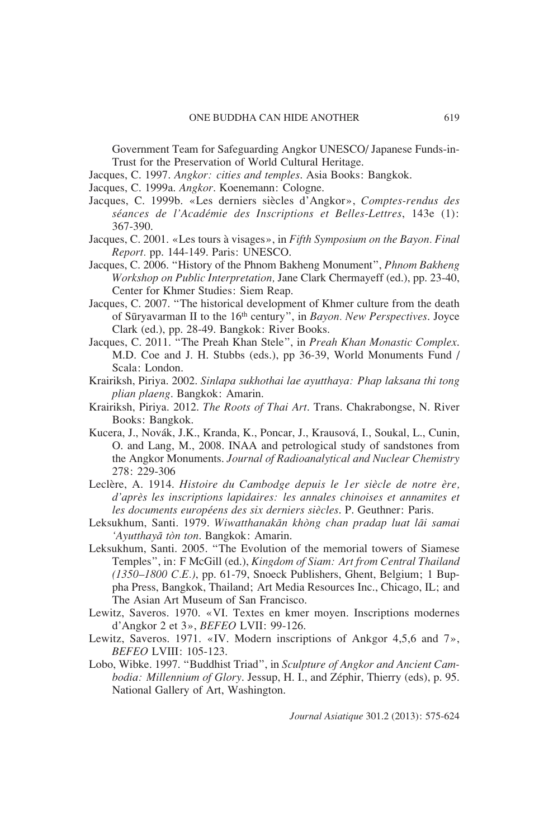Government Team for Safeguarding Angkor UNESCO/ Japanese Funds-in-Trust for the Preservation of World Cultural Heritage.

- Jacques, C. 1997. *Angkor: cities and temples*. Asia Books: Bangkok.
- Jacques, C. 1999a. *Angkor*. Koenemann: Cologne.
- Jacques, C. 1999b. «Les derniers siècles d'Angkor», *Comptes-rendus des séances de l'Académie des Inscriptions et Belles-Lettres*, 143e (1): 367-390.
- Jacques, C. 2001. «Les tours à visages», in *Fifth Symposium on the Bayon. Final Report.* pp. 144-149. Paris: UNESCO.
- Jacques, C. 2006. "History of the Phnom Bakheng Monument", *Phnom Bakheng Workshop on Public Interpretation,* Jane Clark Chermayeff (ed.), pp. 23-40, Center for Khmer Studies: Siem Reap.
- Jacques, C. 2007. "The historical development of Khmer culture from the death of Suryavarman II to the 16th century", in *Bayon. New Perspectives*. Joyce Clark (ed.), pp. 28-49. Bangkok: River Books.
- Jacques, C. 2011. "The Preah Khan Stele", in *Preah Khan Monastic Complex*. M.D. Coe and J. H. Stubbs (eds.), pp 36-39, World Monuments Fund / Scala: London.
- Krairiksh, Piriya. 2002. *Sinlapa sukhothai lae ayutthaya: Phap laksana thi tong plian plaeng*. Bangkok: Amarin.
- Krairiksh, Piriya. 2012. *The Roots of Thai Art*. Trans. Chakrabongse, N. River Books: Bangkok.
- Kucera, J., Novák, J.K., Kranda, K., Poncar, J., Krausová, I., Soukal, L., Cunin, O. and Lang, M., 2008. INAA and petrological study of sandstones from the Angkor Monuments. *Journal of Radioanalytical and Nuclear Chemistry* 278: 229-306
- Leclère, A. 1914. *Histoire du Cambodge depuis le 1er siècle de notre ère, d'après les inscriptions lapidaires: les annales chinoises et annamites et les documents européens des six derniers siècles*. P. Geuthner: Paris.
- Leksukhum, Santi. 1979. *Wiwatthanakan khòng chan pradap luat lai samai 'Ayutthaya tòn ton*. Bangkok: Amarin.
- Leksukhum, Santi. 2005. "The Evolution of the memorial towers of Siamese Temples", in: F McGill (ed.), *Kingdom of Siam: Art from Central Thailand (1350–1800 C.E.)*, pp. 61-79, Snoeck Publishers, Ghent, Belgium; 1 Buppha Press, Bangkok, Thailand; Art Media Resources Inc., Chicago, IL; and The Asian Art Museum of San Francisco.
- Lewitz, Saveros. 1970. «VI. Textes en kmer moyen. Inscriptions modernes d'Angkor 2 et 3», *BEFEO* LVII: 99-126.
- Lewitz, Saveros. 1971. «IV. Modern inscriptions of Ankgor 4,5,6 and 7», *BEFEO* LVIII: 105-123.
- Lobo, Wibke. 1997. "Buddhist Triad", in *Sculpture of Angkor and Ancient Cambodia: Millennium of Glory*. Jessup, H. I., and Zéphir, Thierry (eds), p. 95. National Gallery of Art, Washington.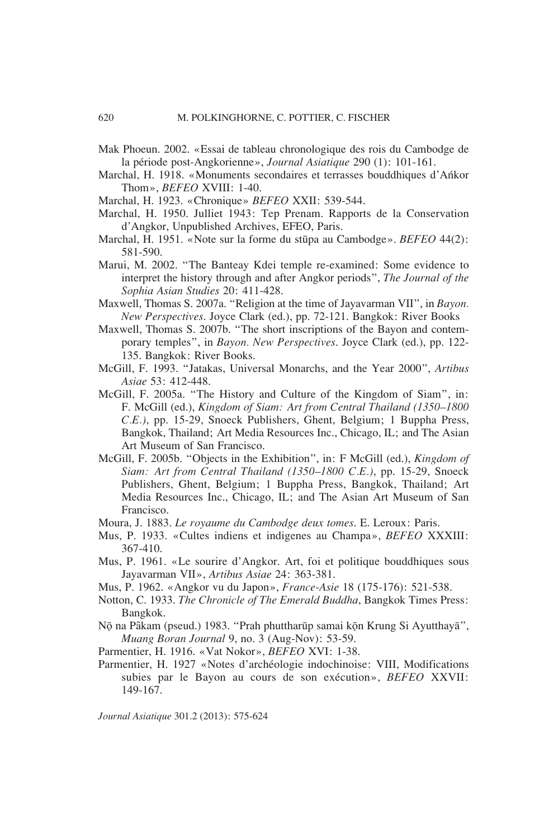- Mak Phoeun. 2002. «Essai de tableau chronologique des rois du Cambodge de la période post-Angkorienne», *Journal Asiatique* 290 (1): 101-161.
- Marchal, H. 1918. «Monuments secondaires et terrasses bouddhiques d'Ankor Thom», *BEFEO* XVIII: 1-40.
- Marchal, H. 1923. «Chronique» *BEFEO* XXII: 539-544.
- Marchal, H. 1950. Julliet 1943: Tep Prenam. Rapports de la Conservation d'Angkor, Unpublished Archives, EFEO, Paris.
- Marchal, H. 1951. «Note sur la forme du stupa au Cambodge». *BEFEO* 44(2): 581-590.
- Marui, M. 2002. "The Banteay Kdei temple re-examined: Some evidence to interpret the history through and after Angkor periods", *The Journal of the Sophia Asian Studies* 20: 411-428.
- Maxwell, Thomas S. 2007a. "Religion at the time of Jayavarman VII", in *Bayon. New Perspectives*. Joyce Clark (ed.), pp. 72-121. Bangkok: River Books
- Maxwell, Thomas S. 2007b. "The short inscriptions of the Bayon and contemporary temples", in *Bayon. New Perspectives*. Joyce Clark (ed.), pp. 122- 135. Bangkok: River Books.
- McGill, F. 1993. "Jatakas, Universal Monarchs, and the Year 2000", *Artibus Asiae* 53: 412-448.
- McGill, F. 2005a. "The History and Culture of the Kingdom of Siam", in: F. McGill (ed.), *Kingdom of Siam: Art from Central Thailand (1350–1800 C.E.)*, pp. 15-29, Snoeck Publishers, Ghent, Belgium; 1 Buppha Press, Bangkok, Thailand; Art Media Resources Inc., Chicago, IL; and The Asian Art Museum of San Francisco.
- McGill, F. 2005b. "Objects in the Exhibition", in: F McGill (ed.), *Kingdom of Siam: Art from Central Thailand (1350–1800 C.E.)*, pp. 15-29, Snoeck Publishers, Ghent, Belgium; 1 Buppha Press, Bangkok, Thailand; Art Media Resources Inc., Chicago, IL; and The Asian Art Museum of San Francisco.
- Moura, J. 1883. *Le royaume du Cambodge deux tomes*. E. Leroux: Paris.
- Mus, P. 1933. «Cultes indiens et indigenes au Champa», *BEFEO* XXXIII: 367-410.
- Mus, P. 1961. «Le sourire d'Angkor. Art, foi et politique bouddhiques sous Jayavarman VII», *Artibus Asiae* 24: 363-381.
- Mus, P. 1962. «Angkor vu du Japon», *France-Asie* 18 (175-176): 521-538.
- Notton, C. 1933. *The Chronicle of The Emerald Buddha*, Bangkok Times Press: Bangkok.
- Nō na Pâkam (pseud.) 1983. "Prah phuttharūp samai kōn Krung Si Ayutthayā", *Muang Boran Journal* 9, no. 3 (Aug-Nov): 53-59.
- Parmentier, H. 1916. «Vat Nokor», *BEFEO* XVI: 1-38.
- Parmentier, H. 1927 «Notes d'archéologie indochinoise: VIII, Modifications subies par le Bayon au cours de son exécution», *BEFEO* XXVII: 149-167.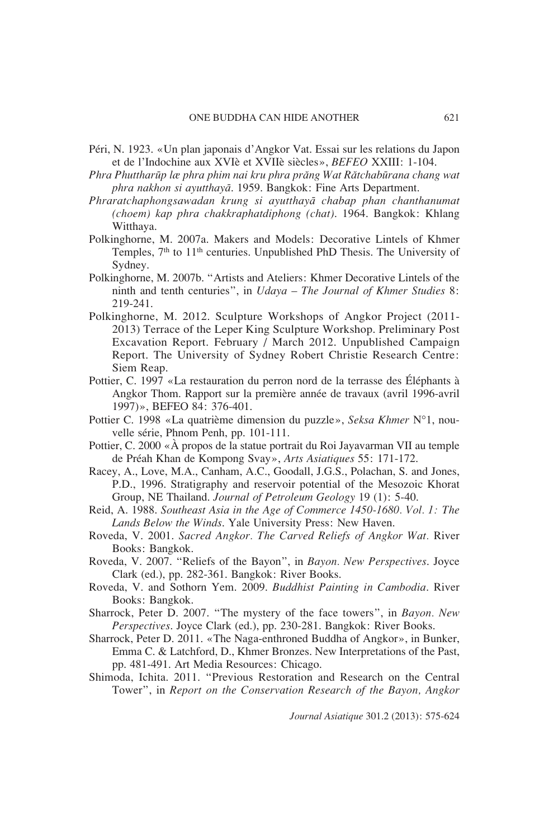- Péri, N. 1923. «Un plan japonais d'Angkor Vat. Essai sur les relations du Japon et de l'Indochine aux XVIè et XVIIè siècles», *BEFEO* XXIII: 1-104.
- *Phra Phuttharup læ phra phim nai kru phra prang Wat Ratchaburana chang wat phra nakhon si ayutthaya*. 1959. Bangkok: Fine Arts Department.
- *Phraratchaphongsawadan krung si ayutthaya chabap phan chanthanumat (choem) kap phra chakkraphatdiphong (chat)*. 1964. Bangkok: Khlang Witthaya.
- Polkinghorne, M. 2007a. Makers and Models: Decorative Lintels of Khmer Temples,  $7<sup>th</sup>$  to  $11<sup>th</sup>$  centuries. Unpublished PhD Thesis. The University of Sydney.
- Polkinghorne, M. 2007b. "Artists and Ateliers: Khmer Decorative Lintels of the ninth and tenth centuries", in *Udaya – The Journal of Khmer Studies* 8: 219-241.
- Polkinghorne, M. 2012. Sculpture Workshops of Angkor Project (2011- 2013) Terrace of the Leper King Sculpture Workshop. Preliminary Post Excavation Report. February / March 2012. Unpublished Campaign Report. The University of Sydney Robert Christie Research Centre: Siem Reap.
- Pottier, C. 1997 «La restauration du perron nord de la terrasse des Éléphants à Angkor Thom. Rapport sur la première année de travaux (avril 1996-avril 1997)», BEFEO 84: 376-401.
- Pottier C. 1998 «La quatrième dimension du puzzle», *Seksa Khmer* N°1, nouvelle série, Phnom Penh, pp. 101-111.
- Pottier, C. 2000 «À propos de la statue portrait du Roi Jayavarman VII au temple de Préah Khan de Kompong Svay», *Arts Asiatiques* 55: 171-172.
- Racey, A., Love, M.A., Canham, A.C., Goodall, J.G.S., Polachan, S. and Jones, P.D., 1996. Stratigraphy and reservoir potential of the Mesozoic Khorat Group, NE Thailand. *Journal of Petroleum Geology* 19 (1): 5-40.
- Reid, A. 1988. *Southeast Asia in the Age of Commerce 1450-1680. Vol. 1: The Lands Below the Winds*. Yale University Press: New Haven.
- Roveda, V. 2001. *Sacred Angkor. The Carved Reliefs of Angkor Wat.* River Books: Bangkok.
- Roveda, V. 2007. "Reliefs of the Bayon", in *Bayon. New Perspectives*. Joyce Clark (ed.), pp. 282-361. Bangkok: River Books.
- Roveda, V. and Sothorn Yem. 2009. *Buddhist Painting in Cambodia*. River Books: Bangkok.
- Sharrock, Peter D. 2007. "The mystery of the face towers", in *Bayon. New Perspectives*. Joyce Clark (ed.), pp. 230-281. Bangkok: River Books.
- Sharrock, Peter D. 2011. «The Naga-enthroned Buddha of Angkor», in Bunker, Emma C. & Latchford, D., Khmer Bronzes. New Interpretations of the Past, pp. 481-491. Art Media Resources: Chicago.
- Shimoda, Ichita. 2011. "Previous Restoration and Research on the Central Tower", in *Report on the Conservation Research of the Bayon, Angkor*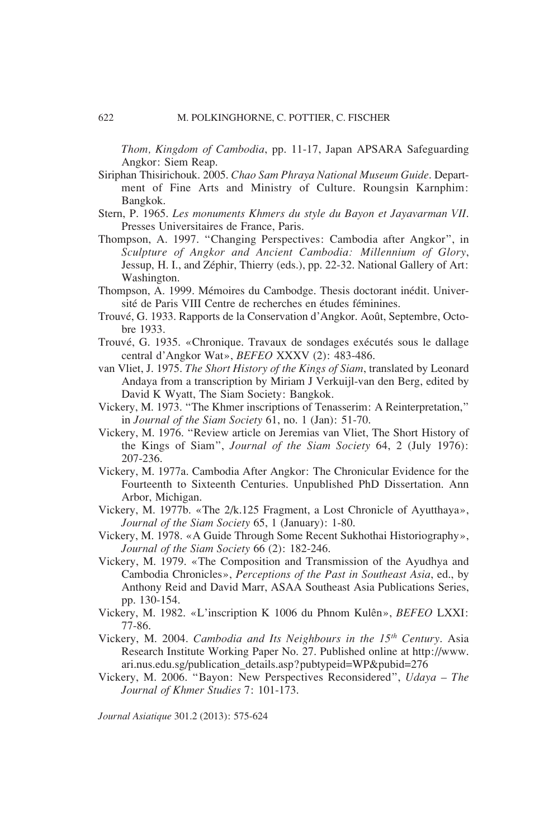*Thom, Kingdom of Cambodia*, pp. 11-17, Japan APSARA Safeguarding Angkor: Siem Reap.

- Siriphan Thisirichouk. 2005. *Chao Sam Phraya National Museum Guide*. Department of Fine Arts and Ministry of Culture. Roungsin Karnphim: Bangkok.
- Stern, P. 1965. *Les monuments Khmers du style du Bayon et Jayavarman VII*. Presses Universitaires de France, Paris.
- Thompson, A. 1997. "Changing Perspectives: Cambodia after Angkor", in *Sculpture of Angkor and Ancient Cambodia: Millennium of Glory*, Jessup, H. I., and Zéphir, Thierry (eds.), pp. 22-32. National Gallery of Art: Washington.
- Thompson, A. 1999. Mémoires du Cambodge. Thesis doctorant inédit. Université de Paris VIII Centre de recherches en études féminines.
- Trouvé, G. 1933. Rapports de la Conservation d'Angkor. Août, Septembre, Octobre 1933.
- Trouvé, G. 1935. «Chronique. Travaux de sondages exécutés sous le dallage central d'Angkor Wat», *BEFEO* XXXV (2): 483-486.
- van Vliet, J. 1975. *The Short History of the Kings of Siam*, translated by Leonard Andaya from a transcription by Miriam J Verkuijl-van den Berg, edited by David K Wyatt, The Siam Society: Bangkok.
- Vickery, M. 1973. "The Khmer inscriptions of Tenasserim: A Reinterpretation," in *Journal of the Siam Society* 61, no. 1 (Jan): 51-70.
- Vickery, M. 1976. "Review article on Jeremias van Vliet, The Short History of the Kings of Siam", *Journal of the Siam Society* 64, 2 (July 1976): 207-236.
- Vickery, M. 1977a. Cambodia After Angkor: The Chronicular Evidence for the Fourteenth to Sixteenth Centuries. Unpublished PhD Dissertation. Ann Arbor, Michigan.
- Vickery, M. 1977b. «The 2/k.125 Fragment, a Lost Chronicle of Ayutthaya», *Journal of the Siam Society* 65, 1 (January): 1-80.
- Vickery, M. 1978. «A Guide Through Some Recent Sukhothai Historiography», *Journal of the Siam Society* 66 (2): 182-246.
- Vickery, M. 1979. «The Composition and Transmission of the Ayudhya and Cambodia Chronicles», *Perceptions of the Past in Southeast Asia*, ed., by Anthony Reid and David Marr, ASAA Southeast Asia Publications Series, pp. 130-154.
- Vickery, M. 1982. «L'inscription K 1006 du Phnom Kulên», *BEFEO* LXXI: 77-86.
- Vickery, M. 2004. *Cambodia and Its Neighbours in the 15th Century*. Asia Research Institute Working Paper No. 27. Published online at http://www. ari.nus.edu.sg/publication\_details.asp?pubtypeid=WP&pubid=276
- Vickery, M. 2006. "Bayon: New Perspectives Reconsidered", *Udaya The Journal of Khmer Studies* 7: 101-173.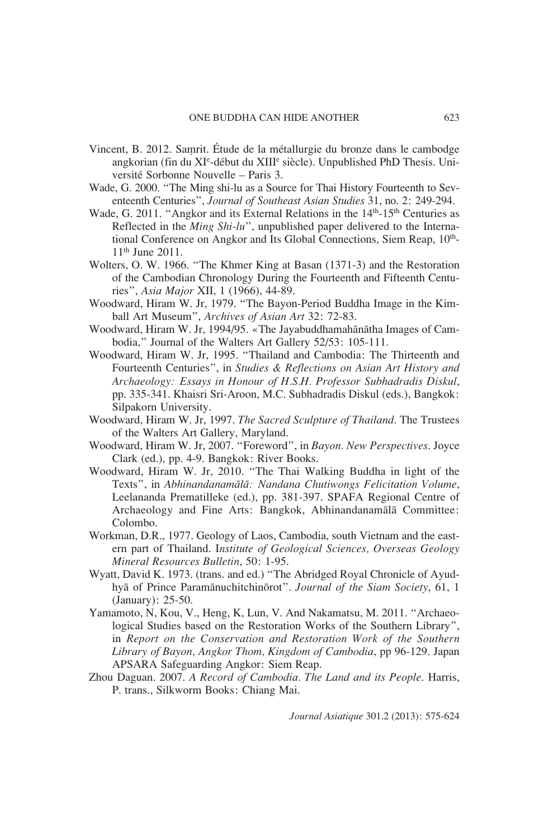- Vincent, B. 2012. Saμrit. Étude de la métallurgie du bronze dans le cambodge angkorian (fin du XI<sup>e</sup>-début du XIII<sup>e</sup> siècle). Unpublished PhD Thesis. Université Sorbonne Nouvelle – Paris 3.
- Wade, G. 2000. "The Ming shi-lu as a Source for Thai History Fourteenth to Seventeenth Centuries", *Journal of Southeast Asian Studies* 31, no. 2: 249-294.
- Wade, G. 2011. "Angkor and its External Relations in the 14<sup>th</sup>-15<sup>th</sup> Centuries as Reflected in the *Ming Shi-lu*", unpublished paper delivered to the International Conference on Angkor and Its Global Connections, Siem Reap, 10<sup>th</sup>-11th June 2011.
- Wolters, O. W. 1966. "The Khmer King at Basan (1371-3) and the Restoration of the Cambodian Chronology During the Fourteenth and Fifteenth Centuries", *Asia Major* XII, 1 (1966), 44-89.
- Woodward, Hiram W. Jr, 1979. "The Bayon-Period Buddha Image in the Kimball Art Museum", *Archives of Asian Art* 32: 72-83.
- Woodward, Hiram W. Jr, 1994/95. «The Jayabuddhamahānātha Images of Cambodia," Journal of the Walters Art Gallery 52/53: 105-111.
- Woodward, Hiram W. Jr, 1995. "Thailand and Cambodia: The Thirteenth and Fourteenth Centuries", in *Studies & Reflections on Asian Art History and Archaeology: Essays in Honour of H.S.H. Professor Subhadradis Diskul*, pp. 335-341. Khaisri Sri-Aroon, M.C. Subhadradis Diskul (eds.), Bangkok: Silpakorn University.
- Woodward, Hiram W. Jr, 1997. *The Sacred Sculpture of Thailand*. The Trustees of the Walters Art Gallery, Maryland.
- Woodward, Hiram W. Jr, 2007. "Foreword", in *Bayon. New Perspectives*. Joyce Clark (ed.), pp. 4-9. Bangkok: River Books.
- Woodward, Hiram W. Jr, 2010. "The Thai Walking Buddha in light of the Texts", in *Abhinandanamala: Nandana Chutiwongs Felicitation Volume*, Leelananda Prematilleke (ed.), pp. 381-397. SPAFA Regional Centre of Archaeology and Fine Arts: Bangkok, Abhinandanamala Committee: Colombo.
- Workman, D.R., 1977. Geology of Laos, Cambodia, south Vietnam and the eastern part of Thailand. I*nstitute of Geological Sciences, Overseas Geology Mineral Resources Bulletin*, 50: 1-95.
- Wyatt, David K. 1973. (trans. and ed.) "The Abridged Royal Chronicle of Ayudhya of Prince Paramanuchitchinorot". *Journal of the Siam Society*, 61, 1 (January): 25-50.
- Yamamoto, N, Kou, V., Heng, K, Lun, V. And Nakamatsu, M. 2011. "Archaeological Studies based on the Restoration Works of the Southern Library", in *Report on the Conservation and Restoration Work of the Southern Library of Bayon, Angkor Thom, Kingdom of Cambodia*, pp 96-129. Japan APSARA Safeguarding Angkor: Siem Reap.
- Zhou Daguan. 2007. *A Record of Cambodia. The Land and its People*. Harris, P. trans., Silkworm Books: Chiang Mai.